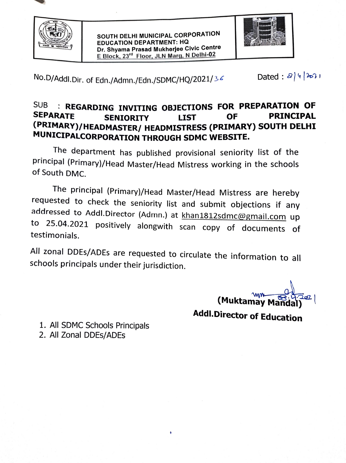

SOUTH DELHI MUNICIPAL CORPORATION EDUCATION DEPARTMENT: HQ Dr. Shyama Prasad Mukherjee Civic Centre E Block, 23<sup>rd</sup> Floor, JLN Marg, N Delhi-02



No.D/Addl.Dir. of Edn./Admn./Edn./SDMC/HQ/2021/36 Dated:  $a|4|3a11$ 

## SUB REGARDING INVITING OBJECTIONS FOR PREPARATION OF SEPARATE SENIORITY LIST OF PRINCIPAL <sup>(PRIMARY)/HEADMASTER/ HEADMISTRESS (PRIMARY) SOUTH DELHI</sup> MUNICIPALCORPORATION THROUGH SDMC WEBSITE.

he department has published provisional seniority list of the principal (Primary)/Head Master/Head Mistress working in the schools of South DMC.

The principal (Primary)/Head Master/Head Mistress are hereby<br>requested to check the seniority list and submit objections if any<br>addressed to Addl.Director (Admn.) at khan1812sdmc@gmail.com up<br>to 25.04.2021 positively along testimonials.

All zonal DDEs/ADEs are requested to circulate the information to all schools principals under their jurisdiction.

(Muktamay

Addl.Director of Education

1. All SDMC Schools Principals 2. All Zonal DDEs/ADEs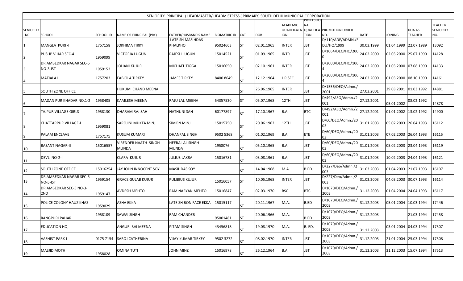|                        |                                     |           |                                             | SENIORITY PRINCIPAL (HEADMASTER/HEADMISTRESS (PRIMARY) SOUTH DELHI MUNICIPAL CORPORATION |                     |            |            |                 |                           |                                       |             |                       |                          |                             |
|------------------------|-------------------------------------|-----------|---------------------------------------------|------------------------------------------------------------------------------------------|---------------------|------------|------------|-----------------|---------------------------|---------------------------------------|-------------|-----------------------|--------------------------|-----------------------------|
| <b>SENIORITY</b><br>N0 |                                     |           |                                             |                                                                                          |                     |            | <b>DOB</b> | ACADEMIC<br>ION | <b>NAL</b><br><b>TION</b> | QUALIFICATA QUALIFICA PROMOTION ORDER |             |                       | DOA AS<br><b>TEACHER</b> | TEACHER<br><b>SENIORITY</b> |
|                        | SCHOOL                              | SCHOOL ID | NAME OF PRINCIPAL (PRY)                     | FATHER/HUSBAND'S NAME<br>LATE SH MASIHDAS                                                | <b>BIOMATRIC ID</b> | <b>CAT</b> |            |                 |                           | NO.<br>D/110/ADE/ADMN./E              | <b>DATE</b> | JOINING               |                          | NO.                         |
|                        | MANGLA PURI-I                       | 1757158   | <b>JOKHIMA TIRKY</b>                        | KHALKHO                                                                                  | 95024663            | ST         | 02.01.1965 | <b>INTER</b>    | JBT                       | DU/HQ/1999                            | 30.03.1999  | 01.04.1999 22.07.1989 |                          | 13092                       |
|                        | PUSHP VIHAR SEC-4                   | 1959099   | VICTORIA LUGUN                              | <b>RAJESH LUGUN</b>                                                                      | 15014521            | ST         | 01.09.1965 | <b>INTR</b>     | <b>JBT</b>                | D/1064/DEO/HQ/200                     | 24.02.2000  | 02.03.2000 25.07.1990 |                          | 14128                       |
| 3                      | DR AMBEDKAR NAGAR SEC-6<br>NO-3-IST | 1959152   | <b>JOHANI KUJUR</b>                         | MICHAEL TIGGA                                                                            | 15016050            | SΤ         | 02.10.1961 | <b>INTER</b>    | <b>JBT</b>                | D/2000/DEO/HQ/106                     | 24.02.2000  | 01.03.2000 07.08.1990 |                          | 14133                       |
| 4                      | MATIALA I                           | 1757203   | <b>FABIOLA TIRKEY</b>                       | JAMES TIRKEY                                                                             | 8400 8649           | ST         | 12.12.1964 | HR.SEC.         | <b>JBT</b>                | D/2000/DEO/HQ/106                     | 24.02.2000  | 01.03.2000 08.10.1990 |                          | 14161                       |
| 15                     | SOUTH ZONE OFFICE                   |           | HUKUM CHAND MEENA                           |                                                                                          |                     | ST         | 26.06.1965 | INTER           | JBT                       | D/1556/DEO/Admn./<br>2001             | 27.03.2001  |                       | 29.03.2001 01.03.1992    | 14881                       |
| 6                      | MADAN PUR KHADAR NO.1-2             | 1958405   | <b>KAMLESH MEENA</b>                        | RAJU LAL MEENA                                                                           | 54357530            | ST         | 05.07.1968 | 12TH            | <b>JBT</b>                | D/492/AEO/Admn./2<br>001              | 27.12.2001  | 05.01.2002            | 08.02.1992               | 14878                       |
|                        | TAJPUR VILLAGE GIRLS                | 1958130   | DHARAM RAJ SAH                              | NATHUNI SAH                                                                              | 60177897            | ST         | 17.10.1967 | B.A.            | <b>BTC</b>                | D/492/AEO/Admn./2<br>001              | 27.12.2001  | 01.01.2002 13.02.1992 |                          | 14900                       |
| 8                      | <b>CHATTARPUR VILLAGE-I</b>         | 1959081   | SAROJINI MUKTA MINJ                         | SIMON MINJ                                                                               | 15015750            | ST         | 20.06.1962 | 12TH            | <b>JBT</b>                | D/60/DEO/Admn./20<br>03               | 31.01.2003  | 05.02.2003 26.04.1993 |                          | 16112                       |
| 9                      | PALAM ENCLAVE                       | 1757175   | <b>KUSUM KUMARI</b>                         | DHANPAL SINGH                                                                            | 9502 5368           | ST.        | 01.02.1969 | B.A             | <b>ETE</b>                | D/60/DEO/Admn./20<br>IO3              | 31.01.2003  | 07.02.2003            | 26.04.1993               | 16115                       |
| 10                     | <b>BASANT NAGAR-II</b>              | 15016557  | <b>VIRENDER NAATH SINGH</b><br><b>MUNDA</b> | HEERA LAL SINGH<br><b>MUNDA</b>                                                          | 1958076             | ST         | 05.10.1965 | B.A.            | <b>JBT</b>                | D/60/DEO/Admn./20<br>03               | 31.01.2003  | 05.02.2003 23.04.1993 |                          | 16119                       |
| 11                     | DEVLI NO-2-I                        |           | CLARA KUJUR                                 | JULIUS LAKRA                                                                             | 15016781            | ST         | 03.08.1961 | B.A.            | <b>JBT</b>                | D/60/DEO/Admn./20<br>03               | 31.01.2003  | 10.02.2003 24.04.1993 |                          | 16121                       |
| 12                     | SOUTH ZONE OFFICE                   | 15016254  | JAY JOHN INNOCENT SOY                       | MASIHDAS SOY                                                                             |                     | ST         | 14.04.1968 | M.A.            | B.ED.                     | D/227/Deo/Admn./2<br>003              | 31.03.2003  | 01.04.2003 21.07.1993 |                          | 16107                       |
| 13                     | DR AMBEDKAR NAGAR SEC-6<br>NO-5-IST | 1959154   | <b>GRACE GULAB KUJUR</b>                    | PULIBIUS KUJUR                                                                           | 15016057            | ST         | 10.05.1968 | <b>INTER</b>    | <b>JBT</b>                | D/227/Deo/Admn./2<br>003              | 31.03.2003  | 04.03.2003 30.07.1993 |                          | 16114                       |
| 14                     | DR AMBEDKAR SEC-5 NO-3-<br>2ND      | 1959147   | <b>AVDESH MEHTO</b>                         | RAM NARYAN MEHTO                                                                         | 15016847            | ST         | 02.03.1970 | <b>BSC</b>      | <b>BTC</b>                | D/1070/DEO/Admn.,<br>2003             | 31.12.2003  | 01.04.2004 24.04.1993 |                          | 16117                       |
| 15                     | POLICE COLONY HAUZ KHAS             | 1959029   | <b>ASHA EKKA</b>                            | LATE SH BONIFACE EKKA                                                                    | 15015117            | ST         | 20.11.1967 | M.A.            | B.ED                      | D/1070/DEO/Admn.,<br>2003             | 31.12.2003  | 05.01.2004 10.03.1994 |                          | 17446                       |
| 16                     | RANGPURI PAHAR                      | 1958109   | <b>SAWAI SINGH</b>                          | RAM CHANDER                                                                              | 95001481            | <b>ST</b>  | 20.06.1966 | M.A.            | B.ED                      | D/1070/DEO/Admn.,<br>2003             | 31.12.2003  |                       | 21.03.1994               | 17458                       |
| 17                     | EDUCATION HQ                        |           | <b>ANGURI BAI MEENA</b>                     | PITAM SINGH                                                                              | 43456818            | ST         | 19.08.1970 | M.A.            | B. ED.                    | D/1070/DEO/Admn./<br>2003             | 31.12.2003  | 03.01.2004 04.03.1994 |                          | 17507                       |
| 18                     | <b>VASHIST PARK-I</b>               | 0175 7154 | <b>SAROJ CATHERINA</b>                      | VIJAY KUMAR TIRKEY                                                                       | 9502 3272           | ST         | 08.02.1970 | <b>INTER</b>    | JBT                       | D/1070/DEO/Admn.,<br>2003             | 31.12.2003  | 21.01.2004 25.03.1994 |                          | 17508                       |
| 19                     | MASJID MOTH                         | 1958028   | <b>OMINA TUTI</b>                           | JOHN MINZ                                                                                | 15016978            | <b>ST</b>  | 26.12.1964 | B.A.            | JBT                       | D/1070/DEO/Admn.,<br>2003             | 31.12.2003  | 31.12.2003 15.07.1994 |                          | 17513                       |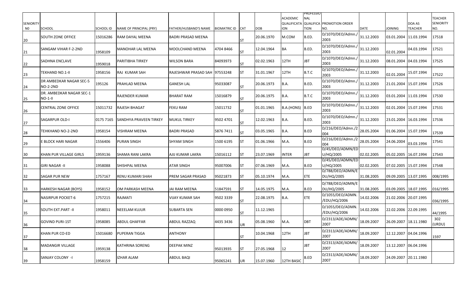| <b>SENIORITY</b>         |                                            |                       |                                                   |                                                    |                     |                  |                          | <b>ACADEMIC</b>     | <b>PROFESSIO</b><br><b>NAL</b> | <b>QUALIFICATA QUALIFICA PROMOTION ORDER</b> |                           |                                         | DOA AS                | <b>TEACHER</b><br><b>SENIORITY</b> |
|--------------------------|--------------------------------------------|-----------------------|---------------------------------------------------|----------------------------------------------------|---------------------|------------------|--------------------------|---------------------|--------------------------------|----------------------------------------------|---------------------------|-----------------------------------------|-----------------------|------------------------------------|
| N <sub>0</sub><br>$20\,$ | <b>SCHOOL</b><br><b>SOUTH ZONE OFFICE</b>  | SCHOOL ID<br>15016286 | <b>NAME OF PRINCIPAL (PRY)</b><br>RAM DAYAL MEENA | FATHER/HUSBAND'S NAME<br><b>BADRI PRASAD MEENA</b> | <b>BIOMATRIC ID</b> | CAT<br><b>ST</b> | <b>DOB</b><br>20.06.1970 | <b>ION</b><br>M.COM | <b>TION</b><br>B.ED.           | NO.<br>D/1070/DEO/Admn.,<br>2003             | <b>DATE</b><br>31.12.2003 | <b>JOINING</b><br>03.01.2004 11.03.1994 | <b>TEACHER</b>        | NO.<br>17518                       |
| 21                       | SANGAM VIHAR F-2-2ND                       | 1958109               | MANOHAR LAL MEENA                                 | MOOLCHAND MEENA                                    | 4704 8466           | ST               | 12.04.1964               | BA                  | B.ED.                          | D/1070/DEO/Admn./<br>2003                    | 31.12.2003                | 02.01.2004                              | 04.03.1994            | 17521                              |
| $\overline{22}$          | <b>SADHNA ENCLAVE</b>                      | 1959018               | PARITIBHA TIRKEY                                  | WILSON BARA                                        | 84093973            | ST               | 02.02.1963               | 12TH                | JBT                            | D/1070/DEO/Admn.,<br>2003                    | 31.12.2003                |                                         | 08.01.2004 04.03.1994 | 17525                              |
| 23                       | TEKHAND NO.1-II                            | 1958156               | RAJ KUMAR SAH                                     | RAJESHWAR PRASAD SAH                               | 97553248            | ST               | 31.01.1967               | 12TH                | B.T.C                          | D/1070/DEO/Admn./<br>2003                    | 31.12.2003                | 02.01.2004                              | 15.07.1994            | 17522                              |
| 24                       | DR AMBEDKAR NAGAR SEC-5<br><b>NO-2-2ND</b> | 195126                | PRAHLAD MEENA                                     | GANESH LAL                                         | 95033087            | <b>ST</b>        | 20.06.1973               | B.A.                | B.ED.                          | D/1070/DEO/Admn./<br>2003                    | 31.12.2003                |                                         | 21.01.2004 15.07.1994 | 17526                              |
| 25                       | DR. AMBEDKAR NAGAR SEC-1<br>NO-1-II        |                       | RAJENDER KUMAR                                    | BHARAT RAM                                         | 15016879            | ST               | 20.06.1975               | B.A.                | B.T.C                          | D/1070/DEO/Admn./<br>2003                    | 31.12.2003                | 03.01.2004 11.03.1994                   |                       | 17530                              |
| 26                       | CENTRAL ZONE OFFICE                        | 15011732              | RAJESH BHAGAT                                     | FEKU RAM                                           | 15011732            | ST               | 01.01.1965               | B.A.(HONS) B.ED     |                                | D/1070/DEO/Admn.,<br>2003                    | 31.12.2003                |                                         | 02.01.2004 15.07.1994 | 17531                              |
| 27                       | <b>SAGARPUR OLD-I</b>                      | 0175 7165             | SANDHYA PRAVEEN TIRKEY                            | MUKUL TIRKEY                                       | 9502 4701           | ST               | 12.02.1963               | B.A.                | B.ED.                          | D/1070/DEO/Admn.,<br>2003                    | 31.12.2003                |                                         | 23.01.2004 16.03.1994 | 17536                              |
| 28                       | TEHKHAND NO-2-2ND                          | 1958154               | /ISHRAM MEENA                                     | BADRI PRASAD                                       | 5876 7411           | <b>ST</b>        | 03.05.1965               | B.A.                | B.ED                           | D/216/DEO/Admn./2<br>004                     | 28.05.2004                | 01.06.2004 15.07.1994                   |                       | 17539                              |
| 29                       | E BLOCK HARI NAGAR                         | 1556406               | <b>PURAN SINGH</b>                                | SHYAM SINGH                                        | 1500 6195           | ST               | 01.06.1966               | M.A.                | B.ED                           | D/216/DEO/Admn./2<br>004                     | 28.05.2004                | 24.06.2004                              | 03.03.1994            | 17541                              |
| 30                       | <b>KHAN PUR VILLAGE GIRLS</b>              | 1959136               | SHAMA RANI LAKRA                                  | AJIJ KUMAR LAKRA                                   | 15016112            | ST               | 23.07.1969               | <b>INTER</b>        | JBT                            | D/45/DEO/ADMN/ED<br>U/HQ/2005                | 02.02.2005                | 05.02.2005 16.07.1994                   |                       | 17543                              |
| 31                       | <b>GIRI NAGAR-II</b>                       | 1958088               | SHISHPAL MEENA                                    | ATAR SINGH                                         | 95007006            | ST               | 07.06.1969               | M.A.                | B.ED                           | D/45/DEO/ADMN/ED<br>U/HQ/2005                | 02.02.2005                |                                         | 07.02.2005 15.07.1994 | 17548                              |
| 32                       | <b>SAGAR PUR NEW</b>                       | 1757167               | RENU KUMARI SHAH                                  | PREM SAGAR PRASAD                                  | 95021873            | ST               | 05.10.1974               | M.A.                | ETE.                           | D/788/DEO/ADMN/E<br>DU/HQ/2005               | 31.08.2005                | 09.09.2005 13.07.1995                   |                       | 008/1995                           |
| 33                       | <b>HARKESH NAGAR (BOYS)</b>                | 1958152               | OM PARKASH MEENA                                  | JAI RAM MEENA                                      | 51847591            | ST               | 14.05.1975               | M.A.                | B.ED                           | D/788/DEO/ADMN/E<br>DU/HQ/2005               | 31.08.2005                | 03.09.2005 18.07.1995                   |                       | 016/1995                           |
| 34                       | <b>NASIRPUR POCKET-6</b>                   | 1757215               | RAJMATI                                           | VIJAY KUMAR SAH                                    | 9502 3339           | ST               | 22.08.1975               | B.A.                | <b>ETE</b>                     | D/1055/DEO/ADMN.<br>/EDU/HQ/2006             | 14.02.2006                | 21.02.2006 20.07.1995                   |                       | 036/1995                           |
| 35                       | <b>SOUTH EXT.PART -II</b>                  | 1958011               | NEEELAM KUJUR                                     | SUBARTA SEN                                        | 0000 0950           | ST               | 11.12.1965               |                     |                                | D/1055/DEO/ADMN.<br>/EDU/HQ/2006             | 14.02.2006                | 22.02.2006 22.09.1995                   |                       | 44/1995                            |
| 36                       | <b>GOVIND PURI-1ST</b>                     | 1958085               | <b>ABDUL GHAFFAR</b>                              | ABDUL RAZZAQ                                       | 4435 3436           | UR               | 05.08.1960               | M.A.                | <b>DBT</b>                     | D/2313/ADE/ADMN/<br>2007                     | 18.09.2007                |                                         | 26.09.2007 18.11.1980 | 302<br>(URDU)                      |
| 37                       | KHAN PUR CO-ED                             | 15016680              | PUPERAN TIGGA                                     | <b>ANTHONY</b>                                     |                     | ST               | 10.04.1968               | 12TH                | <b>JBT</b>                     | D/2313/ADE/ADMN/<br>2007                     | 18.09.2007                |                                         | 12.12.2007 04.04.1996 | 1597                               |
| 38                       | <b>MADANGIR VILLAGE</b>                    | 1959138               | <b>KATHRINA SORENG</b>                            | DEEPAK MINZ                                        | 95013935            | ST               | 27.05.1968               | 12                  | JBT                            | D/2313/ADE/ADMN/<br>2007                     | 18.09.2007                |                                         | 13.12.2007 06.04.1996 |                                    |
| 39                       | SANJAY COLONY -I                           | 1958159               | IZHAR ALAM                                        | <b>ABDUL BAQI</b>                                  | 95065241            | UR               | 15.07.1960               | 12TH BASIC          | B.ED                           | D/2313/ADE/ADMN/<br>2007                     | 18.09.2007                |                                         | 24.09.2007 20.11.1980 |                                    |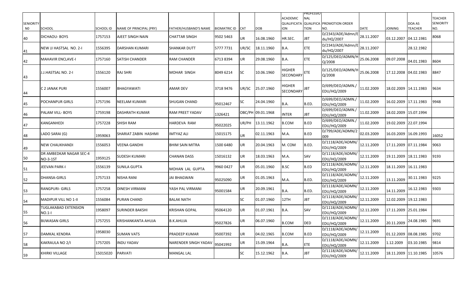| <b>SENIORITY</b>     |                                            |                      |                                                    |                                               |                               |           |                   | <b>ACADEMIC</b><br><b>QUALIFICATA</b> | PROFESSIO<br><b>NAL</b> | <b>QUALIFICA PROMOTION ORDER</b>       |                           |                              | DOA AS                       | <b>TEACHER</b><br><b>SENIORITY</b> |
|----------------------|--------------------------------------------|----------------------|----------------------------------------------------|-----------------------------------------------|-------------------------------|-----------|-------------------|---------------------------------------|-------------------------|----------------------------------------|---------------------------|------------------------------|------------------------------|------------------------------------|
| N <sub>0</sub><br>40 | <b>SCHOOL</b><br>DICHAOU- BOYS             | SCHOOL ID<br>1757153 | <b>NAME OF PRINCIPAL (PRY)</b><br>AJEET SINGH NAIN | FATHER/HUSBAND'S NAME<br><b>CHATTAR SINGH</b> | BIOMATRIC ID CAT<br>9502 5463 | UR        | DOB<br>16.08.1960 | <b>ION</b><br>HR.SEC.                 | <b>TION</b><br>JBT      | NO.<br>D/2343/ADE/Admn/E<br>du/HQ/2007 | <b>DATE</b><br>28.11.2007 | <b>JOINING</b><br>03.12.2007 | <b>TEACHER</b><br>04.12.1981 | NO.<br>8068                        |
| 41                   | NEW JJ HASTSAL NO. 2-1                     | 1556395              | DARSHAN KUMARI                                     | <b>SHANKAR DUTT</b>                           | 5777 7731                     | UR/SC     | 18.11.1960        | B.A.                                  | ETE                     | D/2343/ADE/Admn/E<br>du/HQ/2007        | 28.11.2007                |                              | 28.12.1982                   |                                    |
| 42                   | <b>MAHAVIR ENCLAVE-I</b>                   | 1757160              | SATISH CHANDER                                     | <b>RAM CHANDER</b>                            | 67138394                      | <b>UR</b> | 29.08.1960        | B.A.                                  | <b>ETE</b>              | D/125/DEO/ADMN/H<br>Q/2008             | 25.06.2008                | 09.07.2008                   | 04.01.1983                   | 8604                               |
| 43                   | J.J.HASTSAL NO. 2-I                        | 1556120              | RAJ SHRI                                           | <b>MOHAR SINGH</b>                            | 8049 6214                     | <b>SC</b> | 10.06.1960        | <b>HIGHER</b><br><b>SECONDARY</b>     | ETE                     | D/125/DEO/ADMN/H<br>Q/2008             | 25.06.2008                | 17.12.2008 04.02.1983        |                              | 8847                               |
| 44                   | C 2 JANAK PURI                             | 1556007              | BHAGYAWATI                                         | <b>AMAR DEV</b>                               | 3718 9476                     | UR/SC     | 25.07.1960        | <b>HIGHER</b><br>SECONDARY            | <b>JBT</b>              | D/699/DEO/ADMN./<br>EDU/HQ/2009        | 11.02.2009                | 18.02.2009 14.11.1983        |                              | 9634                               |
| 45                   | <b>POCHANPUR GIRLS</b>                     | 1757196              | NEELAM KUMARI                                      | <b>SHUGAN CHAND</b>                           | 95012467                      | <b>SC</b> | 24.04.1960        | B.A.                                  | B.ED.                   | D/699/DEO/ADMN./<br>EDU/HQ/2009        | 11.02.2009                | 16.02.2009 17.11.1983        |                              | 9948                               |
| 46                   | <b>PALAM VILL-BOYS</b>                     | 1759198              | DASHRATH KUMAR                                     | <b>RAM PREET YADAV</b>                        | 1326421                       |           | OBC/PH 09.01.1968 | <b>INTER</b>                          | JBT                     | D/699/DEO/ADMN.,<br><b>EDU/HQ/2009</b> | 11.02.2009                | 18.02.2009 15.07.1994        |                              |                                    |
| 47                   | KANGANHEDI                                 | 1757228              | SHISH RAM                                          | <b>HARDEVA RAM</b>                            | 95022025                      | UR/PH     | 13.11.1962        | <b>B.COM</b>                          | B.ED                    | D/699/DEO/ADMN./<br>EDU/HQ/2009        | 11.02.2009                | 19.02.2009                   | 22.07.1994                   |                                    |
| 48                   | LADO SARAI (G)                             | 1959063              | SHARIAT ZABIN  HASHMI                              | <b>IMTYAZ ALI</b>                             | 15015175                      | <b>UR</b> | 02.11.1963        | M.A.                                  | B.ED                    | D/799/ADE/ADMN/2<br>009                | 02.03.2009                | 16.03.2009 16.09.1993        |                              | 16052                              |
| 49                   | <b>NEW CHAUKHANDI</b>                      | 1556053              | VEENA GANDHI                                       | <b>BHIM SAIN MITRA</b>                        | 1500 6480                     | UR        | 20.04.1963        | M. COM                                | B.ED.                   | D/1118/ADE/ADMN/<br>EDU/HQ/2009        | 12.11.2009                | 17.11.2009 07.11.1984        |                              | 9063                               |
| 50                   | DR AMBEDKAR NAGAR SEC-4<br><b>NO-3-1ST</b> | 1959125              | SUDESH KUMARI                                      | <b>CHANAN DASS</b>                            | 15016132                      | <b>UR</b> | 18.03.1963        | M.A.                                  | SAV                     | D/1118/ADE/ADMN/<br>EDU/HQ/2009        | 12.11.2009                | 19.11.2009 18.11.1983        |                              | 9193                               |
| 51                   | JEEVAN PARK-I                              | 1556139              | SUNILA GUPTA                                       | MOHAN LAL GUPTA                               | 9960 0427                     | <b>UR</b> | 05.01.1960        | <b>B.SC</b>                           | B.ED                    | D/1118/ADE/ADMN/<br>EDU/HQ/2009        | 12.11.2009                | 18.11.2009 16.11.1983        |                              |                                    |
| 52                   | DHANSA-GIRLS                               | 1757133              | NISHA RANI                                         | JAI BHAGWAN                                   | 95025090                      | UR        | 01.05.1963        | M.A.                                  | B.ED.                   | D/1118/ADE/ADMN/<br>EDU/HQ/2009        | 12.11.2009                | 13.11.2009                   | 30.11.1983                   | 9225                               |
| 53                   | RANGPURI- GIRLS                            | 1757258              | DINESH VIRMANI                                     | YASH PAL VIRMANI                              | 95001584                      | UR        | 20.09.1961        | B.A.                                  | B.ED.                   | D/1118/ADE/ADMN/<br>EDU/HQ/2009        | 12.11.2009                | 14.11.2009                   | 16.12.1983                   | 9303                               |
| 54                   | <b>MADIPUR VILL NO 1-II</b>                | 1556084              | PURAN CHAND                                        | <b>BALAK NATH</b>                             |                               | <b>SC</b> | 01.07.1960        | 12TH                                  | <b>JBT</b>              | D/1118/ADE/ADMN/<br>EDU/HQ/2009        | 12.11.2009                | 12.02.2009 19.12.1983        |                              |                                    |
| 55                   | <b>TUGLAKABAD EXTENSION</b><br>$NO.1-I$    | 1958097              | SURINDER BAKSHI                                    | <b>KRISHAN GOPAL</b>                          | 95064120                      | <b>UR</b> | 01.07.1961        | B.A.                                  | SAV                     | D/1118/ADE/ADMN/<br>EDU/HQ/2009        | 12.11.2009                | 17.11.2009 25.01.1984        |                              |                                    |
| 56                   | <b>BIJWASAN GIRLS</b>                      | 1757255              | KRISHANKANTA AHUJA                                 | <b>B.K.AHUJA</b>                              | 95027826                      | UR        | 06.07.1960        | <b>B.COM</b>                          | <b>DED</b>              | D/1118/ADE/ADMN/<br>EDU/HQ/2009        | 12.11.2009                |                              | 20.11.2009 24.08.1985        | 9691                               |
| 57                   | <b>DAMKAL KENDRA</b>                       | 1958030              | <b>SUMAN VATS</b>                                  | <b>PRADEEP KUMAR</b>                          | 95007392                      | UR        | 04.02.1965        | <b>B.COM</b>                          | B.ED                    | D/1118/ADE/ADMN/<br>EDU/HQ/2009        | 12.11.2009                | 01.12.2009 08.08.1985        |                              | 9702                               |
| 58                   | KAKRAULA NO 2/I                            | 1757205              | <b>INDU YADAV</b>                                  | NARENDER SINGH YADAV                          | 95041992                      | UR        | 15.09.1964        | B.A.                                  | ETE                     | D/1118/ADE/ADMN/<br>EDU/HQ/2009        | 12.11.2009                | 1.12.2009                    | 03.10.1985                   | 9814                               |
| 59                   | <b>KHIRKI VILLAGE</b>                      | 15015020             | PARVATI                                            | <b>MANGAL LAL</b>                             |                               | <b>SC</b> | 15.12.1962        | B.A.                                  | <b>JBT</b>              | D/1118/ADE/ADMN/<br>EDU/HQ/2009        | 12.11.2009                | 18.11.2009 11.10.1985        |                              | 10576                              |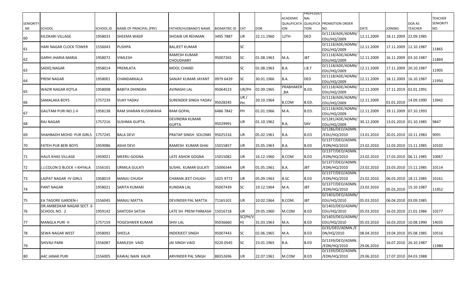|                  |                               |           |                                |                          |                     |            |            |                 | <b>PROFESSIO</b> |                                                     |             |                       |                          |                  |
|------------------|-------------------------------|-----------|--------------------------------|--------------------------|---------------------|------------|------------|-----------------|------------------|-----------------------------------------------------|-------------|-----------------------|--------------------------|------------------|
|                  |                               |           |                                |                          |                     |            |            | <b>ACADEMIC</b> | <b>NAL</b>       |                                                     |             |                       |                          | <b>TEACHER</b>   |
| <b>SENIORITY</b> | <b>SCHOOL</b>                 | SCHOOL ID |                                |                          |                     |            | <b>DOB</b> | <b>ION</b>      | <b>TION</b>      | <b>QUALIFICATA QUALIFICA PROMOTION ORDER</b><br>NO. | <b>DATE</b> | <b>JOINING</b>        | DOA AS<br><b>TEACHER</b> | <b>SENIORITY</b> |
| N <sub>0</sub>   |                               |           | <b>NAME OF PRINCIPAL (PRY)</b> | FATHER/HUSBAND'S NAME    | <b>BIOMATRIC ID</b> | <b>CAT</b> |            |                 |                  | D/1118/ADE/ADMN/                                    |             |                       |                          | NO.              |
| 60               | KILOKARI VILLAGE              | 1958033   | SHEEMA WASIF                   | SHOAIB UR REHMAN         | 3495 7887           | UR         | 22.11.1960 | 12TH            | <b>DED</b>       | EDU/HQ/2009                                         | 12.11.2009  |                       | 18.11.2009 22.09.1985    |                  |
|                  |                               |           |                                |                          |                     |            |            |                 |                  | D/1118/ADE/ADMN/                                    |             |                       |                          |                  |
| 61               | <b>HARI NAGAR CLOCK TOWER</b> | 1556043   | <b>PUSHPA</b>                  | <b>BALJEET KUMAR</b>     |                     | SC         |            |                 |                  | EDU/HQ/2009                                         | 12.11.2009  | 17.11.2009 12.10.1987 |                          | 11865            |
|                  |                               |           |                                | <b>RAMESH KUMAR</b>      |                     |            |            |                 |                  | $\overline{D}/1118/ADE/ADMN/$                       |             |                       |                          |                  |
| 62               | GARHI JHARIA MARIA            | 1958072   | VIMLESH                        | <b>CHOUDHARY</b>         | 95007265            | SC         | 01.08.1963 | M.A.            | <b>JBT</b>       | EDU/HQ/2009                                         | 12.11.2009  | 16.11.2009 03.10.1987 |                          | 11869            |
|                  |                               |           |                                |                          |                     |            |            |                 |                  | D/1118/ADE/ADMN/                                    |             |                       |                          |                  |
| 63               | SADIQ NAGAR                   | 1958014   | PREMLATA                       | MOOL CHAND               |                     | SC         | 01.08.1963 | B.A.            | J.B.T            | EDU/HQ/2009                                         | 12.11.2009  | 17.11.2009 20.10.1987 |                          | 11905            |
|                  | <b>PREM NAGAR</b>             | 1958001   | CHANDARKALA                    | SANJAY KUMAR JAYANT      | 0979 6439           | SC         | 30.01.1966 | B.A.            | <b>DED</b>       | D/1118/ADE/ADMN/                                    | 12.11.2009  | 18.11.2009 16.10.1987 |                          |                  |
| 64               |                               |           |                                |                          |                     |            |            |                 |                  | EDU/HQ/2009                                         |             |                       |                          | 11950            |
|                  | <b>WAZIR NAGAR KOTLA</b>      | 1958008   | BABITA DHINGRA                 | AVINASHI LAL             | 95064523            | UR/PH      | 02.09.1965 | PRABHAKER       | B.ED.            | D/1118/ADE/ADMN/                                    | 12.11.2009  |                       | 17.11.2019 02.01.1991    |                  |
| 65               |                               |           |                                |                          |                     |            |            | ,BA             |                  | EDU/HQ/2009                                         |             |                       |                          |                  |
|                  | SAMALAKA BOYS                 | 1757239   | VIJAY YADAV                    | SURENDER SINGH YADAV     |                     | UR/        | 20.10.1964 |                 |                  | D/1118/ADE/ADMN/                                    | 12.11.2009  |                       | 14.09.1990               | 13942            |
| 66               |                               |           |                                |                          | 95028245            | PH.        |            | <b>B.COM</b>    | B.ED.            | EDU/HQ/2009                                         |             | 01.01.2010            |                          |                  |
|                  | <b>GAUTAM PURI NO.1-II</b>    | 1958138   | RAM SHARAN KUSHWAHA            | <b>RAM GOPAL</b>         | 6486 7842           | PH         | 01.01.1966 | M.A.            | B.ED.            | D/1118/ADE/ADMN/                                    | 12.11.2009  |                       | 19.11.2009 07.10.1993    |                  |
| 67               |                               |           |                                |                          |                     |            |            |                 |                  | EDU/HQ/2009                                         |             |                       |                          |                  |
|                  | <b>RAJ NAGAR</b>              | 1757216   | <b>SUSHMA GUPTA</b>            | <b>DEVINDRA KUMAR</b>    |                     | UR         | 01.10.1962 | B.A.            |                  | D/1281/ADE/ADMN/                                    | 30.12.2009  | 13.01.2010 01.10.1985 |                          | 9847             |
| 68               |                               |           |                                | <b>GUPTA</b>             | 95029991            |            |            |                 | SAV              | EDU/HQ/2009<br>D/1286/DEO/ADMN.                     |             |                       |                          |                  |
| 69               | SHAHBADH MOHD PUR GIRLS       | 1757245   | <b>BALA DEVI</b>               | PRATAP SINGH SOLONKI     | 95025316            | UR         | 05.02.1961 | B.A.            | B.ED             | /EDU/HQ/2010                                        | 13.01.2010  | 20.01.2010 10.11.1983 |                          | 9091             |
|                  |                               |           |                                |                          |                     |            |            |                 |                  | D/1377/DEO/ADMN.                                    |             |                       |                          |                  |
| 70               | FATEH PUR BERI BOYS           | 1959086   | <b>ASHA DEVI</b>               | RAMESH KUMAR GHAI        | 15015857            | UR         | 25.05.1963 | <b>B.A.</b>     | B.ED             | /EDN/HQ/2010                                        | 23.02.2010  | 12.03.2010 15.11.1985 |                          | 10102            |
|                  |                               |           |                                |                          |                     |            |            |                 |                  | D/1377/DEO/ADMN.                                    |             |                       |                          |                  |
| 71               | HAUS KHAS VILLAGE             | 1959021   | MEERU GOGNA                    | LATE ASHOK GOGNA         | 15015082            | UR         | 16.12.1960 | <b>B.COM</b>    | B.ED             | /EDN/HQ/2010                                        | 23.02.2010  | 17.03.2010 06.11.1985 |                          | 10067            |
|                  |                               |           |                                |                          |                     |            |            |                 |                  | D/1377/DEO/ADMN.                                    |             |                       |                          |                  |
| 72               | J.J.COLON D BLOCK -I KHYALA   | 1556101   | URMILA GULATI                  | SUSHIL KUMAR GULATI      | 15006544            | UR         | 01.05.1961 | B.A.            | JBT              | /EDN/HQ/2010                                        | 23.02.2010  | 23.03.2010 15.11.1985 |                          | 10114            |
|                  |                               |           |                                |                          |                     |            |            |                 |                  | D/1377/DEO/ADMN.                                    |             |                       |                          |                  |
| 73               | LAJPAT NAGAR -IV GIRLS        | 1958019   | MANJU CHUGH                    | <b>CHARAN JEET CHUGH</b> | 1025 9772           | UR         | 05.09.1963 | <b>B.SC</b>     | B.ED             | /EDN/HQ/2010                                        | 23.02.2010  | 06.03.2010 18.11.1985 |                          | 10161            |
|                  |                               |           |                                |                          |                     |            |            |                 |                  | D/1377/DEO/ADMN.                                    |             |                       |                          |                  |
| 74               | <b>PANT NAGAR</b>             | 1958021   | <b>SARITA KUMARI</b>           | <b>KUNDAN LAL</b>        | 95007439            | <b>SC</b>  | 19.12.1964 | M.A.            | <b>JBT</b>       | /EDN/HQ/2010                                        | 23.02.2010  | 05.03.2010            | 15.10.1987               | 11952            |
|                  |                               |           |                                |                          |                     |            |            |                 |                  | D/1403/DEO/ADMN/                                    |             |                       |                          |                  |
| 75               | <b>EA TAGORE GARDEN-I</b>     | 1556045   | MANJU MATTA                    | DEVINDER PAL MATTA       | 71165101            | UR         | 10.02.1964 | B.COM.          | JBT              | EDU/HQ/2010                                         | 05.03.2010  | 06.04.2010 03.09.1985 |                          |                  |
|                  | DR.AMBEDKAR NAGAR SECT. 6     |           |                                |                          |                     |            |            |                 |                  | D/1403/DEO/ADMN/                                    |             |                       |                          |                  |
| 76               | SCHOOL NO. 2                  | 1959142   | SANTOSH SATIJA                 | LATE SH PREM PARKASH     | 15016718            | UR         | 29.05.1960 | M.COM           | B.ED             | EDU/HQ/2010                                         | 05.03.2010  |                       | 16.03.2010 21.01.1986    | 10277            |
|                  |                               |           |                                |                          |                     | SC(PH/V    |            |                 |                  | D/1403/DEO/ADMN/                                    |             |                       |                          |                  |
| 77               | <b>MANGLA PURI-II</b>         | 1757159   | YOGESHWER KUMAR                | <b>SHIV LAL</b>          | 95036660            | H)         | 31.03.1963 | M.A.            | B.ED             | EDU/HQ/2010                                         | 05.03.2010  | 16.03.2010 10.08.1990 |                          | 14035            |
|                  |                               |           |                                |                          |                     |            |            |                 |                  | D/35/DEO/ADMN./E                                    |             |                       |                          |                  |
| 78               | <b>SEWA NAGAR WEST</b>        | 1958092   | SHEELA                         | <b>INDERJEET SINGH</b>   | 95007443            | SC         | 02.06.1965 | M.A.            | B.ED             | DN/HQ/2010                                          | 08.04.2010  | 19.04.2010 05.08.1985 |                          | 10516            |
|                  |                               |           |                                |                          |                     |            |            |                 |                  |                                                     |             |                       |                          |                  |
|                  | <b>SHIVAJI PARK</b>           | 1556087   | KAMLESH VAID                   | <b>JAI SINGH VAID</b>    | 9220 0545           | SC         | 23.01.1965 | <b>B.A.</b>     | B.ED             | D/1339/DEO/ADMN.                                    |             | 16.07.2010 26.10.1987 |                          |                  |
| 79               |                               |           |                                |                          |                     |            |            |                 |                  | /EDN/HQ/2010<br>D/1339/DEO/ADMN.                    | 29.06.2010  |                       |                          | 11980            |
|                  | A4C JANAK PURI                | 1556005   | KAWAL NAIN KAUR                | ARVINDER PAL SINGH       | 88352696            | UR         | 22.07.1961 | M.COM           | B.ED             | /EDN/HQ/2010                                        | 29.06.2010  |                       | 17.07.2010 04.03.1988    |                  |
| 80               |                               |           |                                |                          |                     |            |            |                 |                  |                                                     |             |                       |                          |                  |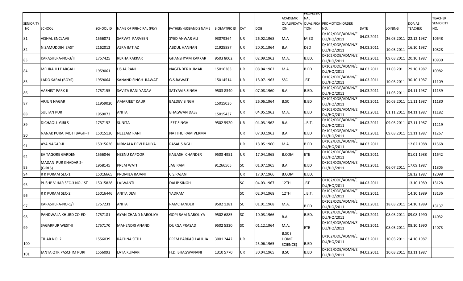|                  |                                 |           |                         |                          |                     |            |            | <b>ACADEMIC</b>                   | PROFESSIO<br><b>NAL</b> |                                  |             |                       |                | <b>TEACHER</b>   |
|------------------|---------------------------------|-----------|-------------------------|--------------------------|---------------------|------------|------------|-----------------------------------|-------------------------|----------------------------------|-------------|-----------------------|----------------|------------------|
| <b>SENIORITY</b> |                                 |           |                         |                          |                     |            |            | <b>QUALIFICATA</b>                |                         | <b>QUALIFICA PROMOTION ORDER</b> |             |                       | DOA AS         | <b>SENIORITY</b> |
| N0               | <b>SCHOOL</b>                   | SCHOOL ID | NAME OF PRINCIPAL (PRY) | FATHER/HUSBAND'S NAME    | <b>BIOMATRIC ID</b> | <b>CAT</b> | <b>DOB</b> | <b>ION</b>                        | tion                    | NO.<br>D/102/DDE/ADMN/E          | <b>DATE</b> | <b>JOINING</b>        | <b>TEACHER</b> | NO.              |
| 81               | VISHAL ENCLAVE                  | 1556071   | SARVAT PARVEEN          | <b>SYED ANWAR ALI</b>    | 93079364            | UR         | 26.02.1968 | M.A                               | M.ED                    | DU/HQ/2011                       | 04.03.2011  | 26.03.2011            | 22.12.1987     | 10648            |
| 82               | NIZAMUDDIN EAST                 | 2162012   | AZRA IMTIAZ             | <b>ABDUL HANNAN</b>      | 21925887            | UR         | 20.01.1964 | B.A.                              | DED                     | D/102/DDE/ADMN/E<br>DU/HQ/2011   | 04.03.2011  | 10.03.2011            | 16.10.1987     | 10828            |
| 83               | KAPASHERA-NO-3/II               | 1757425   | REKHA KAKKAR            | <b>GHANSHYAM KAKKAR</b>  | 9503 8002           | UR         | 02.09.1962 | M.A.                              | B.ED.                   | D/102/DDE/ADMN/E<br>DU/HQ/2011   | 04.03.2011  | 09.03.2011 20.10.1987 |                | 10930            |
| 84               | MEHRAULI DARGAH                 | 1959061   | USHA RANI               | <b>NAGENDER KUMAR</b>    | 15016383            | <b>UR</b>  | 08.04.1962 | M.A.                              | B.ED                    | D/102/DDE/ADMN/E<br>DU/HQ/2011   | 04.03.2011  | 11.03.201             | 29.10.1987     | 10982            |
| 85               | LADO SARAI (BOYS)               | 1959064   | SANAND SINGH RAWAT      | G.S.RAWAT                | 15014514            | UR         | 18.07.1963 | <b>SSC</b>                        | JBT                     | D/102/DDE/ADMN/E<br>DU/HQ/2011   | 04.03.2011  | 10.03.2011            | 30.10.1987     | 11109            |
| 86               | VASHIST PARK-II                 | 1757155   | SAVITA RANI YADAV       | ISATYAVIR SINGH          | 9503 8340           | UR         | 07.08.1960 | B.A                               | B.ED.                   | D/102/DDE/ADMN/E<br>DU/HQ/2011   | 04.03.2011  | 11.03.2011            | 04.11.1987     | 11139            |
| 87               | ARJUN NAGAR                     | 11959020  | AMARJEET KAUR           | <b>BALDEV SINGH</b>      | 15015036            | UR         | 26.06.1964 | <b>B.SC</b>                       | B.ED                    | D/102/DDE/ADMN/E<br>DU/HQ/2011   | 04.03.2011  | 10.03.2011            | 11.11.1987     | 11180            |
| 88               | <b>SULTAN PUR</b>               | 1959072   | ANITA                   | <b>BHAGWAN DASS</b>      | 15015437            | UR         | 04.05.1962 | M.A.                              | B.ED                    | D/102/DDE/ADMN/E<br>DU/HQ/2011   | 04.03.2011  | 01.11.2011            | 04.11.1987     | 11182            |
| 89               | <b>DICHAOU- GIRLS</b>           | 1757152   | SUNITA                  | <b>JEET SINGH</b>        | 9502 5920           | <b>UR</b>  | 04.03.1962 | B.A                               | J.B.T.                  | D/102/DDE/ADMN/E<br>DU/HQ/2011   | 04.03.2011  | 09.03.2011 07.11.1987 |                | 11219            |
| 90               | NANAK PURA, MOTI BAGH-II        | 15015130  | NEELAM RANI             | NATTHU RAM VERMA         |                     | UR         | 07.03.1963 | B.A.                              | B.ED                    | D/102/DDE/ADMN/E<br>DU/HQ/2011   | 04.03.2011  | 09.03.2011            | 11.11.1987     | 11267            |
| 91               | AYA NAGAR-II                    | 15015626  | VIRMALA DEVI DAHIYA     | <b>RASAL SINGH</b>       |                     | UR.        | 18.05.1960 | M.A.                              | B.ED                    | D/102/DDE/ADMN/E<br>DU/HQ/2011   | 04.03.2011  |                       | 12.02.1988     | 11568            |
| 92               | <b>EA TAGORE GARDEN</b>         | 1556046   | NEENU KAPOOR            | KAILASH CHANDER          | 9503 4951           | UR         | 17.04.1965 | <b>B.COM</b>                      | <b>ETE</b>              | D/102/DDE/ADMN/E<br>DU/HQ/2011   | 04.03.2011  |                       | 01.01.1988     | 11642            |
| 93               | MADAN PUR KHADAR 2-I<br>(GIRLS) | 1958145   | PREM WATI               | <b>JAG RAM</b>           | 91266565            | <b>SC</b>  | 01.07.1965 | B.A.                              | B.ED                    | D/102/DDE/ADMN/E<br>DU/HQ/2011   | 04.03.2011  | 06.07.2011            | 17.09.1987     | 11805            |
| 94               | R K PURAM SEC-1                 | 15016665  | PROMILA RAJANI          | C.S.RAJANI               |                     | UR         | 17.07.1966 | <b>B.COM</b>                      | B.ED.                   |                                  |             |                       | 18.12.1987     | 12098            |
| 95               | PUSHP VIHAR SEC-3 NO-1ST        | 15015828  | AJWANTI.                | <b>DALIP SINGH</b>       |                     | SC         | 04.03.1967 | 12TH                              | <b>JBT</b>              | D/102/DDE/ADMN/E<br>DU/HQ/2011   | 04.03.2011  |                       | 13.10.1989     | 13128            |
| 96               | R K PURAM SEC-2                 | 15016446  | ANITA DEVI              | YADRAM                   |                     | SC         | 02.04.1968 | 12TH                              | J.B.T.                  | D/102/DDE/ADMN/E<br>DU/HQ/2011   | 04.03.2011  |                       | 14.10.1989     | 13136            |
| 97               | KAPASHERA-NO-1/I                | 1757231   | ANITA                   | <b>RAMCHANDER</b>        | 9502 1281           | <b>SC</b>  | 01.01.1968 | M.A.                              | B.ED                    | D/102/DDE/ADMN/E<br>DU/HQ/2011   | 04.03.2011  | 18.03.2011 14.10.1989 |                | 13137            |
| 98               | PANDWALA KHURD CO-ED            | 1757181   | GYAN CHAND NAROLIYA     | <b>GOPI RAM NAROLIYA</b> | 9502 6885           | <b>SC</b>  | 10.03.1966 | B.A.                              | B.ED.                   | D/102/DDE/ADMN/E<br>DU/HQ/2011   | 04.03.2011  | 08.03.2011 09.08.1990 |                | 14032            |
| 99               | <b>SAGARPUR WEST-II</b>         | 1757170   | MAHENDRI ANAND          | <b>DURGA PRASAD</b>      | 9502 5330           | <b>SC</b>  | 01.12.1964 | M.A.                              | ETE                     | D/102/DDE/ADMN/E<br>DU/HQ/2011   | 04.03.2011  | 08.03.2011            | 08.10.1990     | 14073            |
| 100              | TIHAR NO. 2                     | 1556039   | RACHNA SETH             | PREM PARKASH AHUJA       | 3001 2442           | <b>UR</b>  | 25.06.1965 | B.SC (<br><b>HOME</b><br>SCIENCE) | B.ED                    | D/102/DDE/ADMN/E<br>DU/HQ/2011   | 04.03.2011  | 10.03.2011 14.10.1987 |                |                  |
| 101              | JANTA QTR PASCHIM PURI          | 1556093   | LATA KUMARI             | H.D. BHAGWANANI          | 1310 5770           | <b>UR</b>  | 30.04.1965 | <b>B.SC</b>                       | B.ED                    | D/102/DDE/ADMN/E<br>DU/HQ/2011   | 04.03.2011  |                       |                |                  |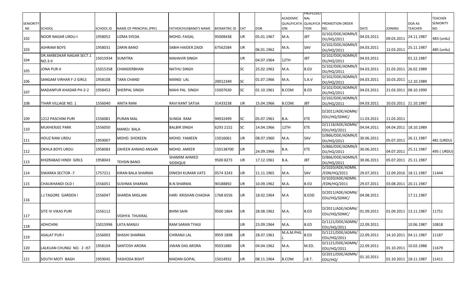|                  |                                     |                  |                         |                          |                  |            |            |                                       | PROFESSIO    |                                  |             |                       |                |                                    |
|------------------|-------------------------------------|------------------|-------------------------|--------------------------|------------------|------------|------------|---------------------------------------|--------------|----------------------------------|-------------|-----------------------|----------------|------------------------------------|
| <b>SENIORITY</b> |                                     |                  |                         |                          |                  |            |            | <b>ACADEMIC</b><br><b>QUALIFICATA</b> | <b>NAL</b>   | <b>QUALIFICA PROMOTION ORDER</b> |             |                       | DOA AS         | <b>TEACHER</b><br><b>SENIORITY</b> |
| N <sub>0</sub>   | SCHOOL                              | <b>SCHOOL ID</b> | NAME OF PRINCIPAL (PRY) | FATHER/HUSBAND'S NAME    | BIOMATRIC ID CAT |            | <b>DOB</b> | <b>ION</b>                            | <b>TION</b>  | NO.                              | <b>DATE</b> | <b>JOINING</b>        | <b>TEACHER</b> | NO.                                |
| 102              | NOOR NAGAR URDU-I                   | 1958052          | <b>UZMA SYEDA</b>       | MOHD. FAISAL             | 95008438         | <b>UR</b>  | 05.01.1967 | M.A.                                  | JBT          | D/102/DDE/ADMN/E<br>DU/HQ/2011   | 04.03.2011  | 09.03.2011            | 24.11.1987     | 483 (urdu)                         |
| 103              | ASHRAM BOYS                         | 1958031          | <b>ZARIN BANO</b>       | SABIH HAIDER ZAIDI       | 67562584         | UR         | 06.01.1962 | M.A.                                  | SAV          | D/102/DDE/ADMN/E<br>DU/HQ/2011   | 04.03.2011  | 12.03.2011            | 25.11.1987     | 485 (urdu)                         |
| 104              | DR.AMBEDKAR NAGAR SECT.1<br>NO.3-II | 15015934         | <b>SUMITRA</b>          | <b>MAHAVIR SINGH</b>     |                  | UR         | 04.07.1964 | 12TH                                  | JBT          | D/102/DDE/ADMN/E<br>DU/HQ/2011   | 04.03.2011  |                       | 01.12.1987     |                                    |
| 105              | JONA PUR-II                         | 15015358         | CHANDERBHAN             | <b>NATHU SINGH</b>       |                  | <b>SC</b>  | 25.02.1962 | M.A.                                  | B.ED         | D/102/DDE/ADMN/E<br>DU/HQ/2011   | 04.03.2011  | 21.03.2011 26.02.1989 |                |                                    |
| 106              | SANGAM VIRHAR F-2 GIRLS             | 1958108          | TARA CHAND              | MANGI LAL                | 20012349         | <b>SC</b>  | 01.07.1966 | M.A.                                  | S.A.V        | D/102/DDE/ADMN/E<br>DU/HQ/2011   | 04.03.2011  | 10.03.2011            | 12.10.1989     |                                    |
| 107              | MADANPUR KHADAR PH-2-2              | 1958452          | SHERPAL SINGH           | MAHI PAL SINGH           | 15007630         | <b>SC</b>  | 01.10.1961 | <b>B.COM</b>                          | B.ED         | D/102/DDE/ADMN/E<br>DU/HQ/2011   | 04.03.2011  | 21.03.2011 08.10.1990 |                |                                    |
| 108              | TIHAR VILLAGE NO. 1                 | 1556040          | <b>ANITA RANI</b>       | RAVI KANT SATIJA         | 31433238         | UR         | 15.04.1966 | B.COM.                                | <b>JBT</b>   | D/102/DDE/ADMN/E<br>DU/HQ/2011   | 04.03.2011  | 10.03.2011 21.10.1987 |                |                                    |
|                  |                                     |                  |                         |                          |                  |            |            |                                       |              | D/2011/ADE/ADMN/                 |             |                       |                |                                    |
| 109              | 1212 PASCHIM PURI                   | 1556081          | <b>PURAN MAL</b>        | SUNDA RAM                | 94932499         | <b>SC</b>  | 05.07.1961 | B.A.                                  | <b>ETE</b>   | EDU/HQ/SDMC/                     | 11.03.2011  | 11.03.2011            |                |                                    |
| 110              | MUKHERJEE PARK                      | 1556050          | <b>MANOJ BALA</b>       | <b>BALBIR SINGH</b>      | 6293 2152        | <b>SC</b>  | 14.04.1966 | 12TH                                  | <b>ETE</b>   | D/1118/ADE/ADMN/<br>EDU/HQ/2011  | 04.04.2011  | 04.04.2011 18.10.1989 |                |                                    |
| 111              | HOUZ RANI URDU                      | 1959007          | <b>MOHD, SHOKEEN</b>    | MOHD. YAMEEN             | 15016061         | <b>UR</b>  | 08.07.1960 | M.A.                                  | SAV          | D/866/DDE/ADMN/E<br>DU/HQ/2011   | 30.06.2011  | 05.07.2011            | 26.11.1987     | 481 (URDU)                         |
| 112              | OKHLA BOYS URDU                     | 1958083          | ZAHEER AHMAD ANSARI     | MOHD. AMEER              | 150138700        | <b>UR</b>  | 24.09.1966 | B.A.                                  | <b>ETE</b>   | D/866/DDE/ADMN/E<br>DU/HQ/2011   | 30.06.2011  | 04.07.2011            | 25.11.1987     | 495 (URDU)                         |
| 113              | KHIZRABAD HINDI GIRLS               | 1958043          | <b>TEHSIN BANO</b>      | SHAMIM AHMED<br>SIDDIQUE | 9500 8273        | UR         | 17.12.1961 | <b>B.A.</b>                           | <b>JBT</b>   | D/866/DDE/ADMN/E<br>DU/HQ/2011   | 30.06.2011  | 05.07.2011 25.11.1987 |                |                                    |
| 114              | <b>DWARKA SECTOR -7</b>             | 1757211          | KIRAN BALA SHARMA       | DINESH KUMAR VATS        | 0574 3243        | UR.        | 11.11.1965 | M.A.                                  | SAV          | D/1020/ADE/ADMN.<br>/EDN/HQ/2011 | 29.07.2011  | 12.09.2016 18.11.1987 |                | 11444                              |
| 115              | CHAUKHANDI OLD I                    | 1556051          | <b>SUSHMA SHARMA</b>    | <b>B.N.SHARMA</b>        | 90188892         | <b>UR</b>  | 10.09.1962 | M.A.                                  | B.ED         | D/1020/ADE/ADMN.<br>/EDN/HQ/2011 | 29.07.2011  | 03.08.2011 20.11.1987 |                |                                    |
| 116              | J.J.TAGORE GARDEN I                 | 1556047          | <b>SHARDA MIGLANI</b>   | HARI KRISHAN CHADHA      | 1768 6556        | <b>UR</b>  | 18.02.1964 | M.A                                   | <b>B.EDD</b> | D/2011/ADE/ADMN/<br>EDU/HQ/SDMC/ | 04.08.2011  |                       | 17.11.1987     |                                    |
| 117              | SITE IV VIKAS PURI                  | 1556112          | <b>VIDHYA THUKRAL</b>   | <b>BHIM SAIN</b>         | 9500 1864        | <b>JUR</b> | 28.08.1962 | M.A.                                  | B.ED         | D/2011/ADE/ADMN/<br>EDU/HQ/SDMC/ | 01.09.2011  | 01.09.2011 13.11.1987 |                | 11751                              |
| 118              | ADHCHINI                            | 15015996         | LATA MANJU              | <b>RAM SARAN TYAGI</b>   |                  | UR.        | 23.09.1964 | M.A.                                  | B.ED         | D/1121/DDE/ADMN/<br>EDU/HQ/2011  | 22.09.2011  |                       | 10.06.1987     | 10818                              |
| 119              | ASALAT PUR-I                        | 1556003          | SHASHI SHARMA           | CHIRANJI LAL             | 9959 1898        | <b>UR</b>  | 28.07.1961 | M.A.M.PHIL                            | B.ED         | D/1121/DDE/ADMN/<br>EDU/HQ/2011  | 22.09.2011  | 14.10.2011 04.11.1987 |                | 11187                              |
| 120              | LALKUAN CHUNGI NO. 2 - IST          | 1958104          | <b>SANTOSH ARORA</b>    | JIWAN DAS ARORA          | 95031880         | UR         | 04.04.1962 | M.A.                                  | M.ED.        | D/1121/DDE/ADMN/<br>EDU/HQ/2011  | 22.09.2011  | 01.10.2011            | 10.02.1988     | 11679                              |
| 121              | SOUTH MOTI BAGH                     | 1959045          | YASHODA BISHT           | <b>MADAN GOPAL</b>       | 15014932         | UR         | 08.11.1964 | <b>B.COM</b>                          | J.B.T.       | D/2011/DDE/ADMN/<br>EDU/HQ/      | 01.10.2011  | 01.10.2011 18.11.1987 |                | 11411                              |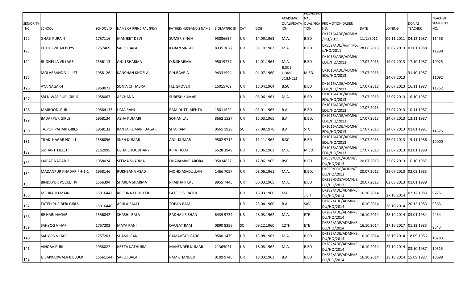|                  |                           |                  |                         |                       |                     |            |            | ACADEMIC                          | PROFESSIO<br><b>NAL</b> |                                       |             |                       |                | <b>TEACHER</b>   |
|------------------|---------------------------|------------------|-------------------------|-----------------------|---------------------|------------|------------|-----------------------------------|-------------------------|---------------------------------------|-------------|-----------------------|----------------|------------------|
| <b>SENIORITY</b> |                           |                  |                         |                       |                     |            |            |                                   |                         | QUALIFICATA QUALIFICA PROMOTION ORDER |             |                       | DOA AS         | <b>SENIORITY</b> |
| N0               | <b>SCHOOL</b>             | <b>SCHOOL ID</b> | NAME OF PRINCIPAL (PRY) | FATHER/HUSBAND'S NAME | <b>BIOMATRIC ID</b> | <b>CAT</b> | <b>DOB</b> | <b>ION</b>                        | TION                    | NO.                                   | <b>DATE</b> | <b>JOINING</b>        | <b>TEACHER</b> | NO.              |
| 122              | <b>GHASI PURA -I</b>      | 1757116          | MANJEET DEVI            | <b>SUMER SINGH</b>    | 95036637            | UR         | 14.09.1963 | M.A.                              | B.ED                    | D/1216/ADE/ADMIN<br>/HQ/2011          | 11/2/2011   | 09.11.2011 04.12.1987 |                | 11458            |
| 123              | KUTUB VIHAR BOYS          | 1757469          | <b>SAROJ BALA</b>       | <b>KARAN SINGH</b>    | 8935 3672           | UR.        | 31.10.1963 | M.A.                              | B.ED                    | D/559/ADE/Admn/Ed<br>u/HQ/2011        | 28.06.2013  | 20.07.2013 01.01.1988 |                | 11298            |
| 124              | <b>BUDHELLA VILLAGE</b>   | 1556113          | <b>ANJU SHARMA</b>      | D.R.SHARMA            | 95019277            | UR         | 14.01.1964 | M.A.                              | B.ED                    | D/1016/ADE/ADMN/<br>EDU/HQ/2013       | 17.07.2013  | 19.07.2013 17.10.1987 |                | 10925            |
| 125              | MOLARBAND VILL-IST        | 1958126          | KANCHAN KHOSLA          | P.N.BAVEJA            | 94331994            | UR         | 04.07.1960 | B.SC (<br><b>HOME</b><br>SCIENCE) | M.ED.                   | D/1016/ADE/ADMN/<br>EDU/HQ/2013       | 17.07.2013  | 24.07.2013            | 31.10.1987     | 11092            |
| 126              | AYA NAGAR-I               | 1959073          | SONIA CHHABRA           | <b>H.L.GROVER</b>     | 15015709            | UR         | 15.04.1964 | <b>B.SC</b>                       | B.ED                    | D/1016/ADE/ADMN/<br>EDU/HQ/2013       | 17.07.2013  | 20.07.2013 16.11.1987 |                | 11752            |
| 127              | SRI NIWAS PURI GIRLS      | 1958067          | ARCHANA                 | <b>SURESH KUMAR</b>   |                     | UR         | 05.06.1961 | M.A.                              | B.ED                    | D/1016/ADE/ADMN/<br>EDU/HQ/2013       | 17.07.2013  | 23.07.2013 16.10.1987 |                |                  |
| 128              | IJAMROOD PUR              | 19584133         | UMA RANI                | RAM DUTT MEHTA        | 15011622            | UR         | 01.01.1965 | B.A.                              | B.ED                    | D/1016/ADE/ADMN/<br>EDU/HQ/2013       | 17.07.2013  | 27.07.2013 10.11.1987 |                |                  |
| 129              | <b>BADARPUR GIRLS</b>     | 1958134          | ASHA KUMARI             | <b>SOHAN LAL</b>      | 8662 1527           | UR         | 15.03.1965 | B.A.                              | B.ED.                   | D/1016/ADE/ADMN/<br>EDU/HQ/2013       | 17.07.2013  | 24.07.2013 13.11.1987 |                |                  |
| 130              | TAJPUR PAHARI GIRLS       | 1958132          | KANTA KUMARI DAGAR      | <b>SITA RAM</b>       | 0565 1928           | <b>SC</b>  | 27.08.1970 | B.A.                              | <b>STC</b>              | D/1016/ADE/ADMN/<br>EDU/HQ/2013       | 17.07.2013  | 24.07.2013 01.01.1991 |                | 14325            |
| 131              | TILAK NAGAR NO. I-I       | 1556056          | <b>SNEH KUMAR</b>       | ANIL KUMAR            | 9502 9712           | UR         | 11.11.1962 | <b>B.SC</b>                       | B.ED                    | D/1016/ADE/ADMN/<br>EDU/HQ/2013       | 17.07.2013  | 26.07.2013 19.11.1986 |                | 10000            |
| 132              | <b>SIDHARTH BASTI</b>     | 2162095          | USHA CHOUDHARY          | KIRAT RAM             | 5528 3949           | UR         | 13.06.1963 | M.A.                              | M.ED.                   | D/1016/ADE/ADMN/<br>EDU/HQ/2013       | 17.07.2013  | 23.07.2013 02.01.1988 |                |                  |
| 133              | <b>LAJPAT NAGAR-2</b>     | 1958024          | SEEMA SHARMA            | DHARAMVIR ARORA       | 95034822            | UR         | 12.06.1965 | <b>BSC</b>                        | B.ED.                   | D/559/DDE/ADMN/E<br>DU/HQ/2013        | 20.07.2013  | 23.07.2013 16.10.1987 |                |                  |
| 134              | MADANPUR KHADAR PH-1-1    | 1958146          | RUKHSANA ASAD           | MOHD ASADULLAH        | 1466 7057           | UR         | 08.06.1961 | M.A.                              | B.ED.                   | D/559/DDE/ADMN/E<br>DU/HQ/2013        | 20.07.2013  | 25.07.2013 02.03.1983 |                |                  |
| 135              | <b>BINDAPUR POCKET IV</b> | 1556394          | <b>SHARDA SHARMA</b>    | PRABHATI LAL          | 9955 7445           | UR         | 06.03.1965 | M.A.                              | B.ED                    | D/559/DDE/ADMN/E<br>DU/HQ/2013        | 20.07.2013  | 03.08.2013 01.01.1988 |                |                  |
| 136              | MEHRAULI MAIN             | 15016442         | KRISHNA CHHILLER        | LATE. R.S. RATHI      |                     | UR         | 16.03.1960 | <b>MA</b>                         | J.B.T.                  | D/282/ADE/ADMN/E<br>DU/HQ/2014        | 16.10.2014  | 27.10.2014            | 02.12.1983     | 9275             |
| 137              | FATEH PUR BERI GIRLS      | 15016446         | ACHLA BAJAJ             | TOPAN RAM             |                     | UR         | 25.04.1960 | B.A.                              | SAV                     | D/282/ADE/ADMN/E<br>DU/HQ/2014        | 16.10.2014  | 28.10.2014            | 20.12.1983     | 9363             |
| 138              | <b>BE HARI NAGAR</b>      | 1556042          | SHASHI BALA             | <b>RADHA KRISHAN</b>  | 6435 9734           | <b>UR</b>  | 28.03.1962 | M.A.                              | ETE                     | D/282/ADE/ADMN/E<br>DU/HQ/2014        | 16.10.2014  | 28.10.2014 03.01.1984 |                | 9434             |
| 139              | <b>SAHYOG VIHAR II</b>    | 1757202          | <b>MAYA RANI</b>        | DAULAT RAM            | 0890 8256           | <b>SC</b>  | 09.12.1960 | 12TH                              | ETE                     | D/282/ADE/ADMN/E<br>DU/HQ/2014        | 16.10.2014  | 27.10.2017 01.12.1983 |                | 9643             |
| 140              | <b>SAHYOG VIHAR I</b>     | 1757201          | <b>SHASHI RANI</b>      | RAMAVTAR GARG         | 9500 1479           | UR         | 13.08.1963 | M.A.                              | B.ED.                   | D/282/ADE/ADMN/E<br>DU/HQ/2014        | 16.10.2014  | 28.10.2014            | 18.09.1986     | 10283            |
| 141              | <b>VINOBA PURI</b>        | 1958022          | NEETA KATHURIA          | MAHENDER KUMAR        | 21365021            | UR         | 18.08.1962 | M.A.                              | B.ED                    | D/282/ADE/ADMN/E<br>DU/HQ/2014        | 16.10.2014  | 27.10.2014            | 03.10.1987     | 10515            |
| 142              | JJ BAKKARWALA B BLOCK     | 15561144         | <b>SAROJ BALA</b>       | <b>RAM CHANDER</b>    | 0109 9746           | <b>UR</b>  | 18.03.1963 | <b>B.A.</b>                       | B.ED                    | D/282/ADE/ADMN/E<br>DU/HQ/2014        | 16.10.2014  | 28.10.2014 15.09.1987 |                | 10698            |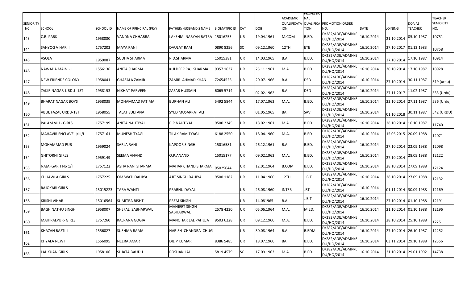|                  |                           |           |                         |                                   |                     |            |            |                 | <b>PROFESSIO</b> |                                              |             |                       |                       |                  |
|------------------|---------------------------|-----------|-------------------------|-----------------------------------|---------------------|------------|------------|-----------------|------------------|----------------------------------------------|-------------|-----------------------|-----------------------|------------------|
|                  |                           |           |                         |                                   |                     |            |            | <b>ACADEMIC</b> | <b>NAL</b>       |                                              |             |                       |                       | <b>TEACHER</b>   |
| <b>SENIORITY</b> |                           |           |                         |                                   |                     |            |            |                 |                  | <b>QUALIFICATA QUALIFICA PROMOTION ORDER</b> |             |                       | DOA AS                | <b>SENIORITY</b> |
| N0               | <b>SCHOOL</b>             | SCHOOL ID | NAME OF PRINCIPAL (PRY) | FATHER/HUSBAND'S NAME             | <b>BIOMATRIC ID</b> | <b>CAT</b> | <b>DOB</b> | <b>ION</b>      | TION             | NO.                                          | <b>DATE</b> | <b>JOINING</b>        | <b>TEACHER</b>        | NO.              |
| 143              | C.R. PARK                 | 1958080   | VANDNA CHHABRA          | LAKSHMI NARYAN BATRA              | 15016253            | UR         | 19.04.1961 | M.COM           | B.ED.            | D/282/ADE/ADMN/E<br>DU/HQ/2014               | 16.10.2014  | 21.10.2014            | 05.10.1987            | 10751            |
| 144              | <b>SAHYOG VIHAR II</b>    | 1757202   | MAYA RANI               | DAULAT RAM                        | 0890 8256           | SC         | 09.12.1960 | 12TH            | <b>ETE</b>       | D/282/ADE/ADMN/E<br>DU/HQ/2014               | 16.10.2014  | 27.10.2017            | 01.12.1983            | 10758            |
| 145              | <b>ASOLA</b>              | 1959087   | <b>SUDHA SHARMA</b>     | R.D.SHARMA                        | 15015381            | UR         | 14.03.1965 | B.A.            | B.ED.            | D/282/ADE/ADMN/E<br>DU/HQ/2014               | 16.10.2014  | 27.10.2014            | 17.10.1987            | 10914            |
| 146              | NAWADA MAIN -II           | 1556136   | ANITA SHARMA            | KULDEEP RAJ SHARMA                | 9357 1637           | UR         | 25.11.1961 | M.A.            | B.ED             | D/282/ADE/ADMN/E<br>DU/HQ/2014               | 16.10.2014  | 30.10.2014 17.10.1987 |                       | 10928            |
| 147              | <b>NEW FRIENDS COLONY</b> | 1958041   | GHAZALA ZAMIR           | ZAMIR AHMAD KHAN                  | 72654526            | UR         | 20.07.1966 | <b>B.A.</b>     | <b>DED</b>       | D/282/ADE/ADMN/E<br>DU/HQ/2014               | 16.10.2014  | 27.10.2014            | 30.11.1987            | 519 (urdu)       |
| 148              | ZAKIR NAGAR-URDU -1ST     | 1958153   | NIKHAT PARVEEN          | <b>ZAFAR HUSSAIN</b>              | 6065 5714           | UR         | 02.02.1962 | B.A.            | <b>DED</b>       | D/282/ADE/ADMN/E<br>DU/HQ/2014               | 16.10.2014  | 27.11.2017            | 11.02.1987            | 533 (Urdu)       |
| 149              | <b>BHARAT NAGAR BOYS</b>  | 1958039   | MOHAMMAD FATIMA         | <b>BURHAN ALI</b>                 | 5492 5844           | UR         | 17.07.1963 | M.A.            | B.ED.            | D/282/ADE/ADMN/E<br>DU/HQ/2014               | 16.10.2014  | 22.10.2014            | 27.11.1987            | 536 (Urdu)       |
| 150              | ABUL FAZAL URDU-1ST       | 1958055   | TALAT SULTANA           | SYED MUSARRAT ALI                 |                     | UR         | 01.05.1965 | BA              | SAV              | D/282/ADE/ADMN/E<br>DU/HQ/2014               | 16.10.2014  | 01.10.2018            | 30.11.1987            | 542 (URDU)       |
| 151              | <b>PALAM VILL- GIRLS</b>  | 1757199   | ANITA NAUTIYAL          | B.P.NAUTIYAL                      | 9500 2245           | UR         | 18.02.1961 | M.A.            | B.ED.            | D/282/ADE/ADMN/E<br>DU/HQ/2014               | 16.10.2014  | 28.10.2014            | 16.10.1987            | 11740            |
| 152              | MAHAVIR ENCLAVE II/III/I  | 1757161   | MUNESH TYAGI            | TILAK RAM TYAGI                   | 6188 2550           | UR         | 18.04.1960 | M.A.            | B.ED             | D/282/ADE/ADMN/E<br>DU/HQ/2014               | 16.10.2014  | 15.05.2015            | 20.09.1988            | 12071            |
| 153              | MOHAMMAD PUR              | 1959024   | SARLA RANI              | <b>KAPOOR SINGH</b>               | 15016581            | UR         | 26.12.1961 | B.A.            | B.ED.            | D/282/ADE/ADMN/E<br>DU/HQ/2014               | 16.10.2014  | 27.10.2014 22.09.1988 |                       | 12098            |
| 154              | GHITORNI GIRLS            | 1959149   | SEEMA ANAND             | O.P.ANAND                         | 15015177            | UR         | 09.02.1963 | M.A.            | B.ED.            | D/282/ADE/ADMN/E<br>DU/HQ/2014               | 16.10.2014  | 27.10.2014            | 28.09.1988            | 12122            |
| 155              | NAJAFGARH No 1/I          | 1757122   | ASHA RANI SHARMA        | MAHAR CHAND SHARMA                | 95025044            | UR         | 12.01.1964 | <b>B.COM</b>    | B.ED.            | D/282/ADE/ADMN/E<br>DU/HQ/2014               | 16.10.2014  | 28.10.2014            | 27.09.1988            | 12124            |
| 156              | CHHAWLA GIRLS             | 1757225   | OM WATI DAHIYA          | AJIT SINGH DAHIYA                 | 9500 1182           | UR         | 11.04.1960 | 12TH            | I.B.T.           | D/282/ADE/ADMN/E<br>DU/HQ/2014               | 16.10.2014  | 28.10.2014 27.09.1988 |                       | 12132            |
| 157              | <b>RAJOKARI GIRLS</b>     | 15015223  | TARA WANTI              | PRABHU DAYAL                      |                     | UR         | 26.08.1960 | <b>INTER</b>    | JBT              | D/282/ADE/ADMN/E<br>DU/HQ/2014               | 16.10.2014  | 01.11.2014 30.09.1988 |                       | 12169            |
| 158              | KRISHI VIHAR              | 15016564  | SUMITRA BISHT           | PREM SINGH                        |                     | UR         | 14.081965  | <b>B.A.</b>     | I.B.T            | D/282/ADE/ADMN/E<br>DU/HQ/2014               | 16.10.2014  |                       | 27.10.2014 01.10.1988 | 12191            |
| 159              | <b>BAGH NATHU SINGH</b>   | 1958007   | SHEFALI SABHARWAL       | <b>MANJEET SINGH</b><br>SABHARWAL | 2578 4230           | UR         | 05.06.1964 | M.A.            | M.ED.            | D/282/ADE/ADMN/E<br>DU/HQ/2014               | 16.10.2014  | 21.10.2014 01.10.1988 |                       | 12196            |
| 160              | MAHIPALPUR- GIRLS         | 1757260   | KALPANA GOGIA           | MANOHAR LAL PAHUJA                | 9503 6228           | UR.        | 09.12.1960 | M.A.            | B.ED.            | D/282/ADE/ADMN/E<br>DU/HQ/2014               | 16.10.2014  | 28.10.2014 25.10.1988 |                       | 12251            |
| 161              | KHAZAN BASTI-I            | 1556027   | <b>SUSHMA RAMA</b>      | HARISH CHANDRA CHUG               |                     | UR         | 30.08.1964 | <b>B.A.</b>     | <b>B.EDM</b>     | D/282/ADE/ADMN/E<br>DU/HQ/2014               | 16.10.2014  | 27.10.2014 26.10.1987 |                       | 12252            |
| 162              | KHYALA NEW I              | 1556095   | NEERA AMAR              | <b>DILIP KUMAR</b>                | 8386 5485           | UR         | 18.07.1960 | BA              | B.ED.            | D/282/ADE/ADMN/E<br>DU/HQ/2014               | 16.10.2014  | 03.11.2014 29.10.1988 |                       | 12356            |
| 163              | <b>LAL KUAN GIRLS</b>     | 1958106   | <b>SUJATA BAUDH</b>     | <b>ROSHAN LAL</b>                 | 5819 4579           | SC         | 17.09.1963 | M.A.            | B.ED.            | D/282/ADE/ADMN/E<br>DU/HQ/2014               | 16.10.2014  |                       | 21.10.2014 29.01.1992 | 14738            |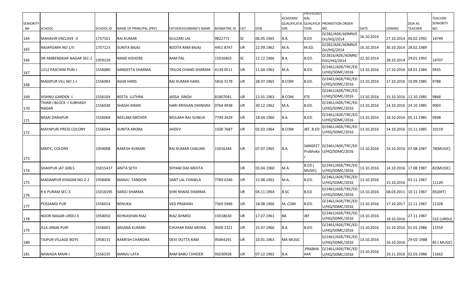|                        |                                   |           |                         |                         |                     |            |            | <b>ACADEMIC</b> | <b>PROFESSIO</b><br><b>NAL</b> |                                                      |             |                       |                          | <b>TEACHER</b>          |
|------------------------|-----------------------------------|-----------|-------------------------|-------------------------|---------------------|------------|------------|-----------------|--------------------------------|------------------------------------------------------|-------------|-----------------------|--------------------------|-------------------------|
| <b>SENIORITY</b><br>N0 | <b>SCHOOL</b>                     | SCHOOL ID | NAME OF PRINCIPAL (PRY) | FATHER/HUSBAND'S NAME   | <b>BIOMATRIC ID</b> | <b>CAT</b> | <b>DOB</b> | ion             | <b>TION</b>                    | QUALIFICATA QUALIFICA PROMOTION ORDER<br>NO.         | <b>DATE</b> | <b>JOINING</b>        | DOA AS<br><b>TEACHER</b> | <b>SENIORITY</b><br>NO. |
| 164                    | <b>MAHAVIR ENCLAVE -II</b>        | 1757161   | RAJ KUMAR               | <b>GULZARI LAL</b>      | 9822771             | SC         | 06.05.1965 | <b>B.A.</b>     | B.ED                           | D/282/ADE/ADMN/E<br>DU/HQ/2014                       | 16.10.2014  | 27.10.2014            | 06.02.1992               | 14749                   |
| 165                    | NAJAFGARH NO 1/II                 | 1757123   | SUNITA BAJAJ            | BOOTA RAM BAJAJ         | 4451 8747           | UR         | 22.09.1962 | M.A.            | M.ED.                          | D/282/ADE/ADMN/E<br>DU/HQ/2014                       | 16.10.2014  |                       | 30.10.2014 28.02.1989    |                         |
| 166                    | DR AMBENDKAR NAGAR SEC-2          | 1959129   | NAND KISHORE            | <b>RAM PAL</b>          | 15016403            | SC         | 12.12.1966 | <b>B.A.</b>     | B.ED.                          | D/2816/ADE/ADMN/<br>EDU/HQ/2014                      | 22.10.2014  |                       | 28.10.2014 29.01.1992    | 14707                   |
| 167                    | 1212 PASCHIM PURI-I               | 1556080   | SANGEETA SHARMA         | TRILOK CHAND SHARMA     | 4139 0511           | UR         | 11.04.1962 | M.A.            | B.ED.                          | D/2461/ADE/TRC/ED<br>U/HQ/SDMC/2016                  | 13.10.2016  |                       | 17.10.2016 04.01.1984    | 9435                    |
| 168                    | <b>MADIPUR VILL NO 1-1</b>        | 1556083   | ASHA HANS               | RAJ KUMAR HANS          | 5816 3178           | UR         | 28.07.1965 | <b>B.COM</b>    | B.ED.                          | D/2461/ADE/TRC/ED<br>U/HQ/SDMC/2016                  | 13.10.2016  | 17.10.2016 10.09.1985 |                          | 9788                    |
| 169                    | VISHNU GARDEN -I                  | 1556104   | REETA LUTHRA            | JASSA SINGH             | 81807041            | UR         | 12.01.1963 | <b>B.COM</b>    | ETE.                           | D/2461/ADE/TRC/ED<br>U/HQ/SDMC/2016                  | 13.10.2016  | 15.10.2016 12.10.1985 |                          | 9868                    |
| 170                    | TIHAR-I BLOCK -I SUBHASH<br>NAGAR | 1556038   | SHASHI KIRAN            | HARI KRISHAN DHINGRA    | 0764 4938           | UR         | 30.12.1962 | M.A.            | B.ED.                          | D/2461/ADE/TRC/ED<br>U/HQ/SDMC/2016                  | 13.10.2016  |                       | 14.10.2016 24.10.1985    | 9903                    |
| 171                    | <b>BASAI DARAPUR</b>              | 1556068   | NEELAM GROVER           | MULAKH RAJ SUNEJA       | 7749 2629           | UR         | 18.04.1960 | B.A.            | B.ED.                          | D/2461/ADE/TRC/ED<br>U/HQ/SDMC/2016                  | 13.10.2016  |                       | 18.10.2016 05.11.1985    | 9948                    |
| 172                    | <b>MAYAPURI PRESS COLONY</b>      | 1556044   | SUNITA ARORA            | <b>JAIDEV</b>           | 1500 7687           | UR         | 02.03.1964 | <b>B.COM</b>    | JBT, B.ED                      | D/2461/ADE/TRC/ED<br>U/HQ/SDMC/2016                  | 13.10.2016  | 14.10.2016 15.11.1985 |                          | 10119                   |
| 173                    | MMTC, COLONY                      | 1959008   | RAKESH KUMARI           | IRAJ KUMAR CHAUAN       | 15016344            | UR         | 07.07.1965 | B.A.            |                                | SANGEET D/2461/ADE/TRC/ED<br>Prabhaka U/HQ/SDMC/2016 | 13.10.2016  | 14.10.2016 07.08.1987 |                          | 78(MUSIC)               |
| 174                    | <b>SHAHPUR JAT GIRLS</b>          | 15015437  | ANITA SETH              | <b>SHYAM DAS MEHTA</b>  |                     | UR         | 03.04.1960 | M.A.            | B.ED (<br>MUSIC)               | D/2461/ADE/TRC/ED<br>U/HQ/SDMC/2016                  | 13.10.2016  | 14.10.2016 17.08.1987 |                          | 82(MUSIC)               |
| 175                    | MADANPUR KHADAR NO.2-2            | 1958406   | MANJU TANDON            | <b>SANT LAL CHAWLA</b>  | 7789 6346           | UR         | 15.08.1962 | M.A.            | B.ED.                          | D/2461/ADE/TRC/ED<br>U/HQ/SDMC/2016                  | 13.10.2016  | 15.10.2016            | 03.11.1987               | 11120                   |
| 176                    | R K PURAM SEC-3                   | 15016595  | SAROJ SHARMA            | SHRI NIWAS SHARMA       |                     | UR         | 04.11.1964 | <b>B.SC</b>     | B.ED                           | D/2461/ADE/TRC/ED<br>U/HQ/SDMC/2016                  | 13.10.2016  | 08.03.2011 10.11.1987 |                          | 85(ART)                 |
| 177                    | POSSANGI PUR                      | 1556014   | RENUKA                  | <b>VED PRAKASH</b>      | 7369 5946           | UR         | 18.08.1966 | M. COM          | B.ED.                          | D/2461/ADE/TRC/ED<br>U/HQ/SDMC/2016                  | 13.10.2016  | 17.10.2017 12.11.1987 |                          | 11328                   |
| 178                    | <b>NOOR NAGAR-URDU-II</b>         | 1958050   | KEHKASHAN RIAZ          | RIAZ AHMED              | 15018630            | UR         | 17.07.1961 | BA              | <b>JBT</b>                     | D/2461/ADE/TRC/ED<br>U/HQ/SDMC/2016                  | 13.10.2016  | 18.10.2016            | 27.11.1987               | 532 (URDU)              |
| 179                    | <b>A1A JANAK PURI</b>             | 1556001   | ANJANA KUMARI           | <b>CHUHAR RAM ARORA</b> | 9500 2321           | UR         | 15.07.1966 | <b>B.A.</b>     | B.ED.                          | D/2461/ADE/TRC/ED<br>U/HQ/SDMC/2016                  | 13.10.2016  |                       | 15.10.2016 01.01.1988    | 11554                   |
| 180                    | TAJPUR VILLAGE BOYS               | 1958131   | RAMESH CHANDRA          | DEVI DUTTA RAM          | 95064291            | UR         | 10.01.1963 | <b>MA MUSIC</b> |                                | D/2461/ADE/TRC/ED<br>U/HQ/SDMC/2016                  | 13.10.2016  | 16.10.2016            | 29-02-1988               | 85 (MUSIC)              |
| 181                    | NAWADA MAIN-I                     | 1556135   | <b>MANJU LATA</b>       | <b>RAM BABU CHHOER</b>  | 95030928            | UR         | 07.12.1962 | B.A.            | ,PRABHA<br><b>KAR</b>          | D/2461/ADE/TRC/ED<br>U/HQ/SDMC/2016                  | 13.10.2016  |                       | 19.11.2016 02.03.1988    | 11662                   |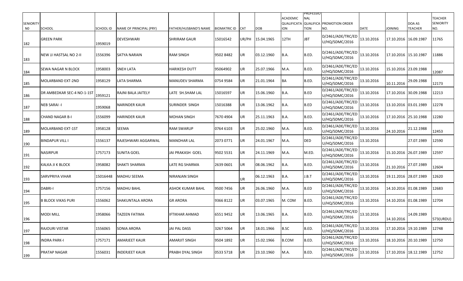| <b>SENIORITY</b><br>N0 | <b>SCHOOL</b>              | <b>SCHOOL ID</b> | <b>NAME OF PRINCIPAL (PRY)</b> | <b>FATHER/HUSBAND'S NAME</b> | <b>BIOMATRIC ID</b> | <b>CAT</b> | <b>DOB</b> | <b>ACADEMIC</b><br><b>ION</b> | PROFESSIO<br><b>NAL</b><br><b>TION</b> | <b>QUALIFICATA QUALIFICA PROMOTION ORDER</b><br>NO. | <b>DATE</b> | <b>JOINING</b>        | DOA AS<br><b>TEACHER</b> | <b>TEACHER</b><br><b>SENIORITY</b><br>NO. |
|------------------------|----------------------------|------------------|--------------------------------|------------------------------|---------------------|------------|------------|-------------------------------|----------------------------------------|-----------------------------------------------------|-------------|-----------------------|--------------------------|-------------------------------------------|
| 182                    | <b>GREEN PARK</b>          | 1959019          | <b>DEVESHWARI</b>              | <b>SHRIRAM GAUR</b>          | 15016542            | UR/PH      | 15.04.1965 | 12TH                          | JBT                                    | D/2461/ADE/TRC/ED<br>U/HQ/SDMC/2016                 | 13.10.2016  | 17.10.2016 16.09.1987 |                          | 11765                                     |
| 183                    | NEW JJ HASTSAL NO 2-II     | 1556396          | <b>SATYA NARAIN</b>            | <b>RAM SINGH</b>             | 9502 8482           | UR         | 03.12.1960 | B.A.                          | B.ED.                                  | D/2461/ADE/TRC/ED<br>U/HQ/SDMC/2016                 | 13.10.2016  | 17.10.2016 15.10.1987 |                          | 11886                                     |
| 184                    | <b>SEWA NAGAR N BLOCK</b>  | 1958003          | <b>SNEH LATA</b>               | <b>HARIKESH DUTT</b>         | 95064902            | UR         | 25.07.1966 | M.A.                          | B.ED.                                  | D/2461/ADE/TRC/ED<br>U/HQ/SDMC/2016                 | 13.10.2016  | 15.10.2016 23.09.1988 |                          | 12087                                     |
| 185                    | MOLARBAND EXT-2ND          | 1958129          | LATA SHARMA                    | MANUDEV SHARMA               | 0754 9584           | UR         | 21.01.1964 | <b>BA</b>                     | B.ED.                                  | D/2461/ADE/TRC/ED<br>U/HQ/SDMC/2016                 | 13.10.2016  | 10.11.2016            | 29.09.1988               | 12173                                     |
| 186                    | DR AMBEDKAR SEC-4 NO-1-1ST | 1959121          | RAJNI BALA JAITELY             | LATE SH.SHAM LAL             | 15016597            | UR         | 15.06.1960 | B.A.                          | B.ED                                   | D/2461/ADE/TRC/ED<br>U/HQ/SDMC/2016                 | 13.10.2016  | 17.10.2016            | 30.09.1988               | 12213                                     |
| 187                    | <b>NEB SARAI -I</b>        | 1959068          | <b>NARINDER KAUR</b>           | SURINDER SINGH               | 15016388            | UR         | 13.06.1962 | B.A.                          | B.ED                                   | D/2461/ADE/TRC/ED<br>U/HQ/SDMC/2016                 | 13.10.2016  | 13.10.2016 03.01.1989 |                          | 12278                                     |
| 188                    | <b>CHAND NAGAR B-I</b>     | 1556099          | HARINDER KAUR                  | <b>MOHAN SINGH</b>           | 7670 4904           | UR         | 25.11.1963 | B.A.                          | B.ED.                                  | D/2461/ADE/TRC/ED<br>U/HQ/SDMC/2016                 | 13.10.2016  | 17.10.2016 25.10.1988 |                          | 12280                                     |
| 189                    | <b>MOLARBAND EXT-1ST</b>   | 1958128          | SEEMA                          | <b>RAM SWARUP</b>            | 0764 6103           | UR         | 25.02.1960 | M.A.                          | B.ED.                                  | D/2461/ADE/TRC/ED<br>U/HQ/SDMC/2016                 | 13.10.2016  | 24.10.2016            | 21.12.1988               | 12453                                     |
| 190                    | <b>BINDAPUR VILL I</b>     | 1556137          | RAJESHWARI AGGARWAL            | <b>MANOHAR LAL</b>           | 2073 0771           | UR         | 24.01.1967 | M.A.                          | <b>DED</b>                             | D/2461/ADE/TRC/ED<br>U/HQ/SDMC/2016                 | 13.10.2016  |                       | 27.07.1989               | 12590                                     |
| 191                    | <b>NASIRPUR</b>            | 1757173          | <b>SUNITA GOEL</b>             | JAI PRAKASH GOEL             | 9502 5531           | UR.        | 24.11.1969 | M.A.                          | M.ED.                                  | D/2461/ADE/TRC/ED<br>U/HQ/SDMC/2016                 | 13.10.2016  | 15.10.2016 26.07.1989 |                          | 12597                                     |
| 192                    | KALKA JI K BLOCK           | 1958082          | SHAKTI SHARMA                  | LATE RG SHARMA               | 2639 0601           | UR         | 08.06.1962 | B.A.                          | B.ED.                                  | D/2461/ADE/TRC/ED<br>U/HQ/SDMC/2016                 | 13.10.2016  | 21.10.2016            | 27.07.1989               | 12604                                     |
| 193                    | SARVPRIYA VIHAR            | 15016448         | <b>MADHU SEEMA</b>             | NIRANJAN SINGH               |                     | UR         | 06.12.1963 | B.A.                          | J.B.T                                  | D/2461/ADE/TRC/ED<br>U/HQ/SDMC/2016                 | 13.10.2016  | 19.11.2016 28.07.1989 |                          | 12620                                     |
| 194                    | DABRI-I                    | 1757156          | <b>MADHU BAHL</b>              | ASHOK KUMAR BAHL             | 9500 7456           | UR         | 26.06.1960 | M.A.                          | B.ED                                   | D/2461/ADE/TRC/ED<br>U/HQ/SDMC/2016                 | 13.10.2016  | 14.10.2016 01.08.1989 |                          | 12683                                     |
| 195                    | <b>B BLOCK VIKAS PURI</b>  | 1556062          | <b>SHAKUNTALA ARORA</b>        | <b>GR ARORA</b>              | 9366 8122           | UR         | 03.07.1965 | M. COM                        | B.ED.                                  | D/2461/ADE/TRC/ED<br>U/HQ/SDMC/2016                 | 13.10.2016  | 14.10.2016 01.08.1989 |                          | 12704                                     |
| 196                    | <b>MODI MILL</b>           | 1958066          | TAZEEN FATIMA                  | <b>IFTIKHAR AHMAD</b>        | 6551 9452           | UR         | 13.06.1965 | B.A.                          | B.ED.                                  | D/2461/ADE/TRC/ED<br>U/HQ/SDMC/2016                 | 13.10.2016  | 14.10.2016            | 14.09.1989               | 573(URDU)                                 |
| 197                    | RAJOURI VISTAR             | 1556065          | SONIA ARORA                    | JAI PAL DASS                 | 3267 5064           | UR         | 18.01.1966 | <b>B.SC</b>                   | B.ED.                                  | D/2461/ADE/TRC/ED<br>U/HQ/SDMC/2016                 | 13.10.2016  | 17.10.2016 19.10.1989 |                          | 12748                                     |
| 198                    | <b>INDRA PARK-I</b>        | 1757171          | <b>AMARJEET KAUR</b>           | <b>AMARJIT SINGH</b>         | 9504 1892           | UR         | 15.02.1966 | <b>B.COM</b>                  | B.ED.                                  | D/2461/ADE/TRC/ED<br>U/HQ/SDMC/2016                 | 13.10.2016  | 18.10.2016 20.10.1989 |                          | 12750                                     |
| 199                    | <b>PRATAP NAGAR</b>        | 1556031          | INDERJEET KAUR                 | PRABH DYAL SINGH             | 0533 5718           | UR         | 23.10.1960 | M.A.                          | B.ED.                                  | D/2461/ADE/TRC/ED<br>U/HQ/SDMC/2016                 | 13.10.2016  | 17.10.2016 18.12.1989 |                          | 12752                                     |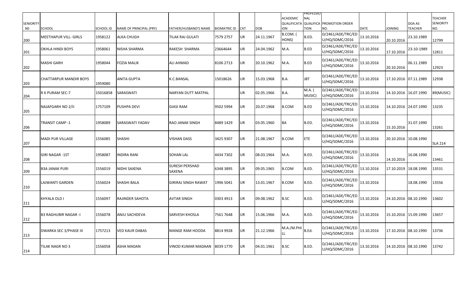| <b>SENIORITY</b><br>N0 | <b>SCHOOL</b>                 | SCHOOL ID | <b>NAME OF PRINCIPAL (PRY)</b> | FATHER/HUSBAND'S NAME           | <b>BIOMATRIC ID</b> | <b>CAT</b> | <b>DOB</b> | <b>ACADEMIC</b><br><b>ION</b> | <b>PROFESSIO</b><br><b>NAL</b><br><b>TION</b> | QUALIFICATA QUALIFICA PROMOTION ORDER<br>NO. | <b>DATE</b> | <b>JOINING</b>        | DOA AS<br><b>TEACHER</b> | <b>TEACHER</b><br><b>SENIORITY</b><br>NO. |
|------------------------|-------------------------------|-----------|--------------------------------|---------------------------------|---------------------|------------|------------|-------------------------------|-----------------------------------------------|----------------------------------------------|-------------|-----------------------|--------------------------|-------------------------------------------|
| 200                    | <b>MEETHAPUR VILL- GIRLS</b>  | 1958122   | ALKA CHUGH                     | <b>TILAK RAJ GULATI</b>         | 7579 2757           | UR         | 24.11.1967 | B.COM. (<br>HONS)             | B.ED.                                         | D/2461/ADE/TRC/ED<br>U/HQ/SDMC/2016          | 13.10.2016  | 20.10.2016            | 23.10.1989               | 12799                                     |
| 201                    | OKHLA HINDI BOYS              | 1958061   | NISHA SHARMA                   | RAKESH SHARMA                   | 23664644            | UR         | 24.04.1962 | M.A.                          | B.ED                                          | D/2461/ADE/TRC/ED<br>U/HQ/SDMC/2016          | 13.10.2016  | 17.10.2016            | 23-10-1989               | 12811                                     |
| 202                    | MASHI GARH                    | 1958044   | FOZIA MALIK                    | <b>ALI AHMAD</b>                | 8106 2713           | UR         | 20.10.1962 | M.A.                          | B.ED                                          | D/2461/ADE/TRC/ED<br>U/HQ/SDMC/2016          | 13.10.2016  | 20.10.2016            | 06.11.1989               | 12923                                     |
| 203                    | CHATTARPUR MANDIR BOYS        | 1959080   | ANITA GUPTA                    | K.C.BANSAL                      | 15018626            | UR         | 15.03.1968 | B.A.                          | JBT                                           | D/2461/ADE/TRC/ED<br>U/HQ/SDMC/2016          | 13.10.2016  | 17.10.2016 07.11.1989 |                          | 12938                                     |
| 204                    | R K PURAM SEC-7               | 15016858  | SARASWATI                      | NARYAN DUTT MATPAL              |                     | UR         | 02.05.1966 | B.A.                          | M.A.<br>MUSIC)                                | D/2461/ADE/TRC/ED<br>U/HQ/SDMC/2016          | 13.10.2016  | 14.10.2016 16.07.1990 |                          | 89(MUSIC)                                 |
| 205                    | NAJAFGARH NO 2/II             | 1757109   | PUSHPA DEVI                    | <b>GIASI RAM</b>                | 9502 5994           | UR         | 20.07.1968 | <b>B.COM</b>                  | B.ED                                          | D/2461/ADE/TRC/ED<br>U/HQ/SDMC/2016          | 13.10.2016  | 14.10.2016 24.07.1990 |                          | 13235                                     |
| 206                    | TRANSIT CAMP -1               | 1958089   | SARASWATI YADAV                | RAO JANAK SINGH                 | 8489 1429           | UR         | 03.05.1960 | <b>BA</b>                     | B.ED.                                         | D/2461/ADE/TRC/ED<br>U/HQ/SDMC/2016          | 13.10.2016  | 15.10.2016            | 31.07.1990               | 13261                                     |
| 207                    | <b>MADI PUR VILLAGE</b>       | 1556085   | <b>SHASHI</b>                  | <b>VISHAN DASS</b>              | 3425 9307           | UR         | 21.08.1967 | <b>B.COM</b>                  | <b>ETE</b>                                    | D/2461/ADE/TRC/ED<br>U/HQ/SDMC/2016          | 13.10.2016  | 20.10.2016 10.08.1990 |                          | <b>SLA 214</b>                            |
| 208                    | <b>GIRI NAGAR-1ST</b>         | 1958087   | NDIRA RANI                     | <b>SOHAN LAL</b>                | 4434 7302           | UR         | 08.03.1964 | M.A.                          | B.ED.                                         | D/2461/ADE/TRC/ED<br>U/HQ/SDMC/2016          | 13.10.2016  | 14.10.2016            | 16.08.1990               | 13461                                     |
| 209                    | <b>B3A JANAK PURI</b>         | 1556019   | NIDHI SAXENA                   | <b>SURESH PERSHAD</b><br>SAXENA | 6348 3895           | UR         | 09.05.1965 | <b>B.COM</b>                  | B.ED.                                         | D/2461/ADE/TRC/ED<br>U/HQ/SDMC/2016          | 13.10.2016  | 17.10.2019 18.08.1990 |                          | 13531                                     |
| 210                    | LAJWANTI GARDEN               | 1556024   | <b>SHASHI BALA</b>             | <b>GIRIRAJ SINGH RAWAT</b>      | 1996 5041           | UR         | 13.01.1967 | <b>B.COM</b>                  | B.ED.                                         | D/2461/ADE/TRC/ED<br>U/HQ/SDMC/2016          | 13.10.2016  |                       | 18.08.1990               | 13556                                     |
| 211                    | KHYALA OLD I                  | 1556097   | RAJINDER SAHOTA                | <b>AVTAR SINGH</b>              | 0303 4913           | UR         | 09.08.1962 | <b>B.SC</b>                   | B.ED.                                         | D/2461/ADE/TRC/ED<br>U/HQ/SDMC/2016          | 13.10.2016  | 24.10.2016 08.10.1990 |                          | 13602                                     |
| 212                    | <b>B3 RAGHUBIR NAGAR -I</b>   | 1556078   | ANJU SACHDEVA                  | <b>SARVESH KHOSLA</b>           | 7561 7648           | UR         | 15.06.1966 | M.A.                          | B.ED.                                         | D/2461/ADE/TRC/ED<br>U/HQ/SDMC/2016          | 13.10.2016  | 15.10.2016 15.09.1990 |                          | 13657                                     |
| 213                    | <b>DWARKA SEC 3/PHASE III</b> | 1757213   | VED KAUR DABAS                 | <b>MANGE RAM HOODA</b>          | 8814 9928           | UR         | 21.12.1966 | M.A./M.PHI<br>LL              | B.Ed.                                         | D/2461/ADE/TRC/ED<br>U/HQ/SDMC/2016          | 13.10.2016  | 17.10.2016 08.10.1990 |                          | 13736                                     |
| 214                    | TILAK NAGR NO 3               | 1556058   | ASHA MADAN                     | VINOD KUMAR MADAAN              | 8039 1770           | UR         | 04.01.1961 | <b>B.SC</b>                   | B.ED.                                         | D/2461/ADE/TRC/ED<br>U/HQ/SDMC/2016          | 13.10.2016  | 14.10.2016 08.10.1990 |                          | 13742                                     |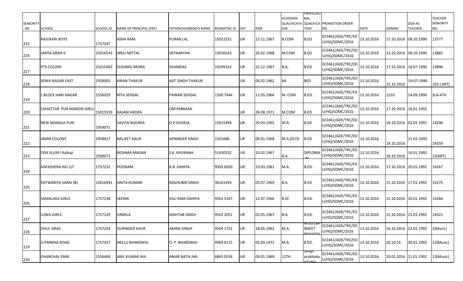| <b>SENIORITY</b><br>N0 | <b>SCHOOL</b>             | <b>SCHOOL ID</b> | NAME OF PRINCIPAL (PRY) | FATHER/HUSBAND'S NAME | <b>BIOMATRIC ID</b> | <b>CAT</b> | <b>DOB</b> | <b>ACADEMIC</b><br><b>ION</b> | PROFESSIO<br>NAL<br><b>TION</b>           | <b>QUALIFICATA QUALIFICA PROMOTION ORDER</b><br>NO. | <b>DATE</b> | <b>JOINING</b>        | DOA AS<br><b>TEACHER</b> | <b>TEACHER</b><br><b>SENIORITY</b><br>NO. |
|------------------------|---------------------------|------------------|-------------------------|-----------------------|---------------------|------------|------------|-------------------------------|-------------------------------------------|-----------------------------------------------------|-------------|-----------------------|--------------------------|-------------------------------------------|
| 215                    | RAJOKARI BOYS             | 1757247          | <b>ASHA RANI</b>        | <b>PURAN LAL</b>      | 15022231            | UR         | 15.11.1967 | <b>B.COM</b>                  | B.ED                                      | D/2461/ADE/TRC/ED<br>U/HQ/SDMC/2016                 | 13.10.2016  |                       | 17.10.2016 08.10.1990    | 13777                                     |
| 216                    | JANTA GRAH-II             | 15016543         | <b>ANJU MITTAL</b>      | SATNARYAN             | 15016543            | UR         | 26.02.1968 | M.COM                         | B.ED                                      | D/2461/ADE/TRC/ED<br>U/HQ/SDMC/2016                 | 13.10.2016  |                       | 13.10.2016 08.10.1990    | 13882                                     |
| 217                    | <b>PTS COLONY</b>         | 15015492         | <b>SUSHMA ARORA</b>     | SHAMDAS               | 19299163            | UR         | 22.12.1967 | B.A.                          | B.ED                                      | D/2461/ADE/TRC/ED<br>U/HQ/SDMC/2016                 | 13.10.2016  |                       | 17.10.2016 16.07.1990    | 13896                                     |
| 218                    | <b>SEWA NAGAR EAST</b>    | 1958005          | <b>KIRAN THAKUR</b>     | AJIT SINGH THAKUR     |                     | UR         | 06.02.1962 | <b>BA</b>                     | <b>BED</b>                                | D/2461/ADE/TRC/ED<br>U/HQ/SDMC/2016                 | 13.10.2016  | 15.10.2016            | 19-07-1990               | 102 (ART)                                 |
| 219                    | L BLOCK HARI NAGAR        | 1556029          | <b>RITA SEHGAL</b>      | PAWAN SEHGAL          | 1500 7644           | UR         | 12.05.1966 | M. COM                        | B.ED.                                     | D/2461/ADE/TRC/ED<br>U/HQ/SDMC/2016                 | 13.10.2016  | 1510                  | 14.09.1990               | <b>SLA-474</b>                            |
| 220                    | CHHATTAR PUR MANDIR GIRLS | 15015559         | RAJANI ARORA            | OM PARKASH            |                     | UR         | 28.08.1971 | M.COM                         | B.ED                                      | D/2461/ADE/TRC/ED<br>U/HQ/SDMC/2016                 | 13.10.2016  |                       | 17.10.2016 16.01.1992    |                                           |
| 221                    | NEW MANGLA PURI           | 1959071          | SAVITA NIJHARA          | O.P.DUDEJA            | 15015494            | UR         | 20.03.1965 | M.A.                          | B.ED                                      | D/2461/ADE/TRC/ED<br>U/HQ/SDMC/2016                 | 13.10.2016  | 18.10.2016 02.01.1991 |                          | 14206                                     |
| 222                    | <b>AMAR COLONY</b>        | 1958017          | <b>BALJEET KAUR</b>     | APNINDER SINGH        | 1501686             | UR         | 09.01.1968 | M.A.(ECO)                     | B.ED                                      | D/2461/ADE/TRC/ED<br>U/HQ/SDMC/2016                 | 13.10.2016  | 14.10.2016            | 21-01-1992               | 14259                                     |
| 223                    | DDA SLUM-I Kalkaji        | 1958073          | RESHMA MADAN            | S.K. KHURANA          | 51430532            | UR         | 10.02.1967 | B.A.                          | <b>DIPLOMA</b>                            | D/2461/ADE/TRC/ED<br>U/HQ/SDMC/2016                 | 13.10.2016  | 18.10.2016            | 16.01.1992               | 13(ART)                                   |
| 224                    | KAPASHERA-NO-2/I          | 1757232          | <b>POONAM</b>           | K.R. DAHIYA           | 9503 6050           | UR         | 23.03.1961 | M.A.                          | B.ED.                                     | D/2461/ADE/TRC/ED<br>U/HQ/SDMC/2016                 | 13.10.2016  |                       | 17.10.2016 20.01.1992    | 14267                                     |
| 225                    | KATWARIYA SARAI (B)       | 15016941         | <b>ANITA KUMARI</b>     | <b>RAGHUBIR SINGH</b> | 36161493            | UR         | 03.07.1969 | B.A.                          | B.ED                                      | D/2461/ADE/TRC/ED<br>U/HQ/SDMC/2016                 | 13.10.2016  |                       | 15.10.2016 17.01.1992    | 14275                                     |
| 226                    | SAMALAKA GIRLS            | 1757238          | SEEMA                   | KALI RAM DAHIYA       | 9502 5347           | UR         | 12.07.1966 | <b>B.SC</b>                   | B.ED.                                     | D/2461/ADE/TRC/ED<br>U/HQ/SDMC/2016                 | 13.10.2016  | 15.10.2016 20.01.1992 |                          | 14284                                     |
| 227                    | UJWA-GIRLS                | 1757129          | <b>URMILA</b>           | MAHTAB SINGH          | 9502 2051           | UR         | 02.05.1967 | B.A.                          | B.ED.                                     | D/2461/ADE/TRC/ED<br>U/HQ/SDMC/2016                 | 13.10.2016  |                       | 15.10.2016 21.01.1992    | 14321                                     |
| 228                    | <b>DHUL SIRAS</b>         | 1757243          | <b>GURINDER KAUR</b>    | <b>AMRIK SINGH</b>    | 9504 1721           | UR         | 18.05.1962 | M.A.                          | M.ED.(SA<br><b>NGEET</b><br><b>DDAVED</b> | D/2461/ADE/TRC/ED<br>U/HQ/SDMC/2016                 | 13.10.2016  |                       | 16.10.2016 22.01.1992    | 2(Music)                                  |
| 229                    | JJ PANKHA ROAD            | 1757437          | <b>NEELU BHARDWAJ</b>   | O. P. BHARDWAJ        | 4964 6115           | UR         | 05.09.1971 | M.A.                          | B.ED.                                     | D/2461/ADE/TRC/ED<br>U/HQ/SDMC/2016                 | 13.10.2016  | 20.10.16              | 30.01.1992               | 12(Music)                                 |
| 230                    | <b>CHANCHAL PARK</b>      | 1556468          | <b>ANIL KUMAR JHA</b>   | AMAR NATH JHA         | 6845 0534           | UR         | 09.01.1969 | 12TH                          | sangit<br>prabhak<br>$T$ ahla             | D/2461/ADE/TRC/ED<br>U/HQ/SDMC/2016                 | 13.10.2016  |                       | 20.01.2016 21.01.1992    | 13(Music)                                 |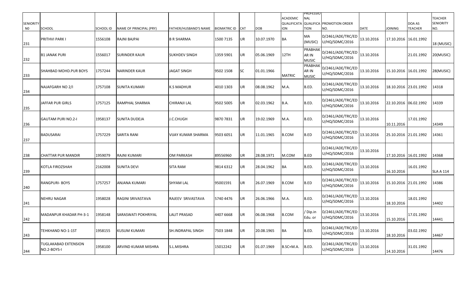| <b>SENIORITY</b><br>N0 | SCHOOL                              | SCHOOL ID | NAME OF PRINCIPAL (PRY)    | FATHER/HUSBAND'S NAME | <b>BIOMATRIC ID</b> | <b>CAT</b> | <b>DOB</b> | <b>ACADEMIC</b><br>ion | <b>PROFESSIO</b><br><b>NAL</b><br><b>TION</b> | QUALIFICATA QUALIFICA PROMOTION ORDER<br>NO. | <b>DATE</b> | <b>JOINING</b>        | DOA AS<br><b>TEACHER</b> | <b>TEACHER</b><br><b>SENIORITY</b><br>NO. |
|------------------------|-------------------------------------|-----------|----------------------------|-----------------------|---------------------|------------|------------|------------------------|-----------------------------------------------|----------------------------------------------|-------------|-----------------------|--------------------------|-------------------------------------------|
| 231                    | PRITHVI PARK I                      | 1556108   | RAJNI BAJPAI               | <b>B R SHARMA</b>     | 1500 7135           | UR         | 10.07.1970 | BA                     | MA<br>(MUSIC)                                 | D/2461/ADE/TRC/ED<br>U/HQ/SDMC/2016          | 13.10.2016  | 17.10.2016 16.01.1992 |                          | 18 (MUSIC)                                |
| 232                    | <b>B1 JANAK PURI</b>                | 1556017   | <b>SURINDER KAUR</b>       | <b>SUKHDEV SINGH</b>  | 1359 5901           | UR         | 05.06.1969 | 12TH                   | PRABHAK<br>AR IN<br><b>MUSIC</b>              | D/2461/ADE/TRC/ED<br>U/HQ/SDMC/2016          | 13.10.2016  |                       | 21.01.1992               | 20(MUSIC)                                 |
| 233                    | SHAHBAD MOHD.PUR BOYS               | 1757244   | <b>NARINDER KAUR</b>       | JAGAT SINGH           | 9502 1508           | SC         | 01.01.1966 | <b>MATRIC</b>          | PRABHAI<br>AR IN<br><b>MUSIC</b>              | D/2461/ADE/TRC/ED<br>U/HQ/SDMC/2016          | 13.10.2016  | 15.10.2016 16.01.1992 |                          | 28(MUSIC)                                 |
| 234                    | NAJAFGARH NO 2/I                    | 1757108   | SUNITA KUMARI              | K.S MADHUR            | 4010 1303           | UR         | 08.08.1962 | M.A.                   | B.ED.                                         | D/2461/ADE/TRC/ED<br>U/HQ/SDMC/2016          | 13.10.2016  | 18.10.2016 23.01.1992 |                          | 14318                                     |
| 235                    | JAFFAR PUR GIRLS                    | 1757125   | RAMPHAL SHARMA             | CHIRANJI LAL          | 9502 5005           | UR         | 02.03.1962 | <b>B.A.</b>            | B.ED.                                         | D/2461/ADE/TRC/ED<br>U/HQ/SDMC/2016          | 13.10.2016  | 22.10.2016 06.02.1992 |                          | 14339                                     |
| 236                    | <b>GAUTAM PURI NO.2-I</b>           | 1958137   | SUNITA DUDEJA              | J.C.CHUGH             | 9870 7831           | UR         | 19.02.1969 | M.A.                   | B.ED.                                         | D/2461/ADE/TRC/ED<br>U/HQ/SDMC/2016          | 13.10.2016  | 10.11.2016            | 17.01.1992               | 14349                                     |
| 237                    | <b>BADUSARAI</b>                    | 1757229   | SARITA RANI                | VIJAY KUMAR SHARMA    | 9503 6051           | UR         | 11.01.1965 | <b>B.COM</b>           | B.ED                                          | D/2461/ADE/TRC/ED<br>U/HQ/SDMC/2016          | 13.10.2016  | 25.10.2016 21.01.1992 |                          | 14361                                     |
| 238                    | CHATTAR PUR MANDIR                  | 1959079   | RAJNI KUMARI               | OM PARKASH            | 89556960            | UR         | 28.08.1971 | M.COM                  | B.ED                                          | D/2461/ADE/TRC/ED<br>U/HQ/SDMC/2016          | 13.10.2016  | 17.10.2016 16.01.1992 |                          | 14368                                     |
| 239                    | KOTLA FIROZSHAH                     | 2162008   | <b>SUNITA DEVI</b>         | <b>SITA RAM</b>       | 9814 6312           | UR         | 28.04.1962 | BA                     | B.ED.                                         | D/2461/ADE/TRC/ED<br>U/HQ/SDMC/2016          | 13.10.2016  | 16.10.2016            | 16.01.1992               | <b>SLA A 114</b>                          |
| 240                    | RANGPURI- BOYS                      | 1757257   | ANJANA KUMARI              | SHYAM LAL             | 95001591            | UR         | 26.07.1969 | <b>B.COM</b>           | B.ED                                          | D/2461/ADE/TRC/ED<br>U/HQ/SDMC/2016          | 13.10.2016  | 15.10.2016 21.01.1992 |                          | 14386                                     |
| 241                    | NEHRU NAGAR                         | 1958028   | <b>RAGINI SRIVASTAVA</b>   | RAJEEV SRIVASTAVA     | 5740 4476           | UR         | 26.06.1966 | M.A.                   | B.ED.                                         | D/2461/ADE/TRC/ED<br>U/HQ/SDMC/2016          | 13.10.2016  | 18.10.2016            | 18.01.1992               | 14402                                     |
| 242                    | <b>MADANPUR KHADAR PH-3-1</b>       | 1958148   | <b>SARASWATI POKHRIYAL</b> | LALIT PRASAD          | 4407 6668           | UR         | 06.08.1968 | <b>B.COM</b>           | / Dip.in                                      | D/2461/ADE/TRC/ED<br>Edu. or U/HQ/SDMC/2016  | 13.10.2016  | 15.10.2016            | 17.01.1992               | 14441                                     |
| 243                    | TEHKHAND NO-1-1ST                   | 1958155   | <b>KUSUM KUMARI</b>        | SH.INDRAPAL SINGH     | 7503 1848           | UR         | 20.08.1965 | <b>BA</b>              | B.ED.                                         | D/2461/ADE/TRC/ED<br>U/HQ/SDMC/2016          | 13.10.2016  | 18.10.2016            | 03.02.1992               | 14467                                     |
| 244                    | TUGLAKABAD EXTENSION<br>NO.2-BOYS-I | 1958100   | ARVIND KUMAR MISHRA        | S.L.MISHRA            | 15012242            | UR         | 01.07.1969 | B.SC+M.A.              | B.ED.                                         | D/2461/ADE/TRC/ED<br>U/HQ/SDMC/2016          | 13.10.2016  | 14.10.2016            | 31.01.1992               | 14476                                     |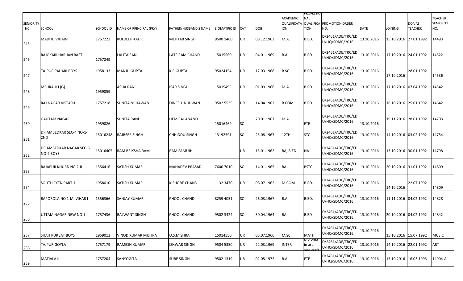| <b>SENIORITY</b><br>N0 | <b>SCHOOL</b>                        | SCHOOL ID | NAME OF PRINCIPAL (PRY) | FATHER/HUSBAND'S NAME | <b>BIOMATRIC ID</b> | <b>CAT</b> | <b>DOB</b> | <b>ACADEMIC</b><br>QUALIFICATA<br><b>ION</b> | PROFESSIO<br><b>NAL</b><br><b>QUALIFICA</b><br><b>TION</b> | <b>PROMOTION ORDER</b><br>NO.       | <b>DATE</b> | <b>JOINING</b>        | DOA AS<br><b>TEACHER</b> | <b>TEACHER</b><br><b>SENIORITY</b><br>NO. |
|------------------------|--------------------------------------|-----------|-------------------------|-----------------------|---------------------|------------|------------|----------------------------------------------|------------------------------------------------------------|-------------------------------------|-------------|-----------------------|--------------------------|-------------------------------------------|
| 245                    | <b>MADHU VIHAR-I</b>                 | 1757222   | <b>KULDEEP KAUR</b>     | <b>MEHTAB SINGH</b>   | 9500 1460           | UR         | 08.12.1963 | M.A.                                         | B.ED.                                                      | D/2461/ADE/TRC/ED<br>U/HQ/SDMC/2016 | 13.10.2016  | 15.10.2016 27.01.1992 |                          | 14493                                     |
| 246                    | RAJOKARI HARIJAN BASTI               | 1757249   | LALITA RANI             | LATE RAM CHAND        | 15015560            | UR         | 04.01.1969 | B.A.                                         | B.ED                                                       | D/2461/ADE/TRC/ED<br>U/HQ/SDMC/2016 | 13.10.2016  | 17.10.2016 24.01.1992 |                          | 14522                                     |
| 247                    | TAJPUR PAHARI BOYS                   | 1958133   | MANJU GUPTA             | K.P.GUPTA             | 95024154            | UR         | 12.03.1968 | <b>B.SC</b>                                  | B.ED.                                                      | D/2461/ADE/TRC/ED<br>U/HQ/SDMC/2016 | 13.10.2016  | 17.10.2016            | 28.01.1992               | 14536                                     |
| 248                    | MEHRAULI (G)                         | 1959059   | ASHA RANI               | <b>ISAR SINGH</b>     | 15015495            | UR         | 01.09.1966 | M.A.                                         | B.ED                                                       | D/2461/ADE/TRC/ED<br>U/HQ/SDMC/2016 | 13.10.2016  | 17.10.2016 07.04.1992 |                          | 14542                                     |
| 249                    | <b>RAJ NAGAR VISTAR-I</b>            | 1757218   | SUNITA NIJHAWAN         | DINESH NIJHWAN        | 9502 5535           | UR         | 14.04.1962 | <b>B.COM</b>                                 | B.ED.                                                      | D/2461/ADE/TRC/ED<br>U/HQ/SDMC/2016 | 13.10.2016  | 16.10.2016 25.01.1992 |                          | 14642                                     |
| 250                    | <b>GAUTAM NAGAR</b>                  | 1959026   | SUNITA RANI             | <b>HEM RAJ ANAND</b>  | 15016469            | <b>SC</b>  | 20.01.1967 | M.A.                                         | <b>ETE</b>                                                 | D/2461/ADE/TRC/ED<br>U/HQ/SDMC/2016 | 13.10.2016  | 19.11.2016 28.01.1992 |                          | 14703                                     |
| 251                    | DR AMBEDKAR SEC-4 NO-1-<br>2ND       | 15016248  | RAJBEER SINGH           | <b>CHHIDDU SINGH</b>  | 13192591            | <b>SC</b>  | 25.08.1967 | 12TH                                         | <b>STC</b>                                                 | D/2461/ADE/TRC/ED<br>U/HQ/SDMC/2016 | 13.10.2016  | 14.10.2016 03.02.1992 |                          | 14754                                     |
| 252                    | DR AMBEDKAR NAGAR SEC-6<br>NO-2 BOYS | 15016405  | RAM BRIKSHA RAM         | RAM SAMUJH            |                     | UR         | 15.01.1962 | BA, B.ED                                     | ΝA                                                         | D/2461/ADE/TRC/ED<br>U/HQ/SDMC/2016 | 13.10.2016  | 13.10.2016 30.01.1992 |                          | 14798                                     |
| 253                    | RAJAPUR KHURD NO 2-II                | 1556416   | SATISH KUMAR            | <b>MAHADEV PRASAD</b> | 7600 7010           | <b>SC</b>  | 14.01.1965 | BA                                           | <b>BSTC</b>                                                | D/2461/ADE/TRC/ED<br>U/HQ/SDMC/2016 | 13.10.2016  | 20.10.2016 31.01.1992 |                          | 14809                                     |
| 254                    | <b>SOUTH EXTN PART-1</b>             | 1958010   | SATISH KUMAR            | <b>KISHORE CHAND</b>  | 1132 3470           | UR         | 08.07.1962 | M.COM                                        | B.ED.                                                      | D/2461/ADE/TRC/ED<br>U/HQ/SDMC/2016 | 13.10.2016  | 14.10.2016            | 22.07.1992               | 14809                                     |
| 255                    | BAPOROLA NO 1 JAI VIHAR I            | 1556366   | SANJAY KUMAR            | PHOOL CHAND           | 8259 4051           | <b>SC</b>  | 26.03.1967 | B.A.                                         | B.ED.                                                      | D/2461/ADE/TRC/ED<br>U/HQ/SDMC/2016 | 13.10.2016  | 11.11.2016 04.02.1992 |                          | 14828                                     |
| 256                    | UTTAM NAGAR NEW NO 1 - II            | 1757436   | <b>BALWANT SINGH</b>    | PHOOL CHAND           | 9502 3424           | <b>SC</b>  | 30.04.1964 | BA                                           | B.ED                                                       | D/2461/ADE/TRC/ED<br>U/HQ/SDMC/2016 | 13.10.2016  | 20.10.2016 04.02.1992 |                          | 14842                                     |
| 257                    | <b>SHAH PUR JAT BOYS</b>             | 1959013   | VINOD KUMAR MISHRA      | U.S.MISHRA            | 15014550            | UR         | 05.07.1966 | M.SC.                                        | <b>MATH</b>                                                | D/2461/ADE/TRC/ED<br>U/HQ/SDMC/2016 | 13.10.2016  | 15.10.2016 15.07.1992 |                          | <b>MUSIC</b>                              |
| 258                    | <b>TAJPUR GOYLA</b>                  | 1757179   | RAMESH KUMAR            | <b>ISHWAR SINGH</b>   | 9504 5350           | UR         | 22.03.1969 | <b>INTER</b>                                 | oibioma<br>in art<br>and craf                              | D/2461/ADE/TRC/ED<br>U/HQ/SDMC/2016 | 13.10.2016  | 14.10.2016 22.01.1992 |                          | ART                                       |
| 259                    | <b>MATIALA II</b>                    | 1757204   | <b>SANYOGITA</b>        | <b>SUBE SINGH</b>     | 9502 1319           | UR         | 02.05.1972 | B.A.                                         | <b>ETE</b>                                                 | D/2461/ADE/TRC/ED<br>U/HQ/SDMC/2016 | 13.10.2016  | 15.10.2016 16.03.1993 |                          | 14904-A                                   |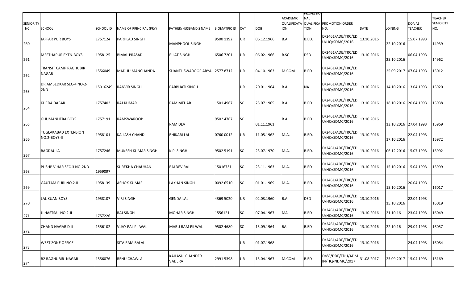| <b>SENIORITY</b><br>N <sub>0</sub> | <b>SCHOOL</b>                               | SCHOOL ID | NAME OF PRINCIPAL (PRY) | FATHER/HUSBAND'S NAME           | <b>BIOMATRIC ID</b> | <b>CAT</b> | <b>DOB</b> | <b>ACADEMIC</b><br>QUALIFICATA<br><b>ION</b> | PROFESSIO<br><b>NAL</b><br><b>TION</b> | <b>QUALIFICA PROMOTION ORDER</b><br>NO. | DATE       | <b>JOINING</b>        | DOA AS<br><b>TEACHER</b> | <b>TEACHER</b><br><b>SENIORITY</b><br>NO. |
|------------------------------------|---------------------------------------------|-----------|-------------------------|---------------------------------|---------------------|------------|------------|----------------------------------------------|----------------------------------------|-----------------------------------------|------------|-----------------------|--------------------------|-------------------------------------------|
| 260                                | JAFFAR PUR BOYS                             | 1757124   | PARHLAD SINGH           | <b>MANPHOOL SINGH</b>           | 9500 1192           | UR         | 06.12.1966 | B.A.                                         | B.ED.                                  | D/2461/ADE/TRC/ED<br>U/HQ/SDMC/2016     | 13.10.2016 | 22.10.2016            | 15.07.1993               | 14939                                     |
| 261                                | <b>MEETHAPUR EXTN-BOYS</b>                  | 1958125   | BIMAL PRASAD            | <b>BILAT SINGH</b>              | 6506 7201           | UR         | 06.02.1966 | B.SC                                         | DED                                    | D/2461/ADE/TRC/ED<br>U/HQ/SDMC/2016     | 13.10.2016 | 25.10.2016            | 06.04.1993               | 14962                                     |
| 262                                | TRANSIT CAMP RAGHUBIR<br><b>NAGAR</b>       | 1556049   | MADHU MANCHANDA         | SHANTI SWAROOP ARYA   2577 8712 |                     | UR         | 04.10.1963 | M.COM                                        | B.ED                                   | D/2461/ADE/TRC/ED<br>U/HQ/SDMC/2016     |            | 25.09.2017 07.04.1993 |                          | 15012                                     |
| 263                                | DR AMBEDKAR SEC-4 NO-2-<br>2ND              | 15016249  | የANVIR SINGH            | <b>PARBHATI SINGH</b>           |                     | UR         | 20.01.1964 | B.A.                                         | ΝA                                     | D/2461/ADE/TRC/ED<br>U/HQ/SDMC/2016     | 13.10.2016 | 14.10.2016 13.04.1993 |                          | 15920                                     |
| 264                                | KHEDA DABAR                                 | 1757402   | RAJ KUMAR               | RAM MEHAR                       | 1501 4967           | <b>SC</b>  | 25.07.1965 | B.A.                                         | <b>B.ED</b>                            | D/2461/ADE/TRC/ED<br>U/HQ/SDMC/2016     | 13.10.2016 | 18.10.2016 20.04.1993 |                          | 15938                                     |
| 265                                | <b>GHUMANHERA BOYS</b>                      | 1757191   | RAMSWAROOP              | <b>RAM DEV</b>                  | 9502 4767           | <b>SC</b>  | 01.11.1961 | B.A.                                         | B.ED.                                  | D/2461/ADE/TRC/ED<br>U/HQ/SDMC/2016     | 13.10.2016 | 13.10.2016 27.04.1993 |                          | 15969                                     |
| 266                                | <b>TUGLAKABAD EXTENSION</b><br>NO.2-BOYS-II | 1958101   | KAILASH CHAND           | <b>BHIKARI LAL</b>              | 0760 0012           | UR         | 11.05.1962 | M.A.                                         | B.ED.                                  | D/2461/ADE/TRC/ED<br>U/HQ/SDMC/2016     | 13.10.2016 | 17.10.2016            | 22.04.1993               | 15972                                     |
| 267                                | <b>BAGDAULA</b>                             | 1757246   | MUKESH KUMAR SINGH      | K.P. SINGH                      | 9502 5191           | <b>SC</b>  | 23.07.1970 | M.A.                                         | B.ED.                                  | D/2461/ADE/TRC/ED<br>U/HQ/SDMC/2016     | 13.10.2016 | 06.12.2016 15.07.1993 |                          | 15992                                     |
| 268                                | PUSHP VIHAR SEC-3 NO-2ND                    | 1959097   | <b>SUREKHA CHAUHAN</b>  | <b>BALDEV RAJ</b>               | 15016731            | <b>SC</b>  | 23.11.1963 | M.A.                                         | B.ED                                   | D/2461/ADE/TRC/ED<br>U/HQ/SDMC/2016     | 13.10.2016 | 15.10.2016 15.04.1993 |                          | 15999                                     |
| 269                                | <b>GAUTAM PURI NO.2-II</b>                  | 1958139   | ASHOK KUMAR             | <b>LAKHAN SINGH</b>             | 0092 6510           | <b>SC</b>  | 01.01.1969 | M.A.                                         | B.ED.                                  | D/2461/ADE/TRC/ED<br>U/HQ/SDMC/2016     | 13.10.2016 | 15.10.2016            | 20.04.1993               | 16017                                     |
| 270                                | <b>LAL KUAN BOYS</b>                        | 1958107   | VIRI SINGH              | <b>GENDA LAL</b>                | 4369 5020           | UR         | 02.03.1960 | B.A.                                         | DED                                    | D/2461/ADE/TRC/ED<br>U/HQ/SDMC/2016     | 13.10.2016 | 15.10.2016            | 22.04.1993               | 16019                                     |
| 271                                | JJ HASTSAL NO 2-II                          | 1757226   | RAJ SINGH               | <b>MOHAR SINGH</b>              | 1556121             | <b>SC</b>  | 07.04.1967 | MA                                           | B.ED                                   | D/2461/ADE/TRC/ED<br>U/HQ/SDMC/2016     | 13.10.2016 | 21.10.16              | 23.04.1993               | 16049                                     |
| 272                                | <b>CHAND NAGAR D II</b>                     | 1556102   | VIJAY PAL PILWAL        | MARU RAM PILWAL                 | 9502 4680           | <b>SC</b>  | 15.09.1964 | BA                                           | B.ED                                   | D/2461/ADE/TRC/ED<br>U/HQ/SDMC/2016     | 13.10.2016 | 22.10.16              | 29.04.1993               | 16057                                     |
| 273                                | <b>WEST ZONE OFFICE</b>                     |           | SITA RAM BALAI          |                                 |                     | UR         | 01.07.1968 |                                              |                                        | D/2461/ADE/TRC/ED<br>U/HQ/SDMC/2016     | 13.10.2016 |                       | 24.04.1993               | 16084                                     |
| 274                                | <b>B2 RAGHUBIR NAGAR</b>                    | 1556076   | RENU CHAWLA             | KAILASH CHANDER<br>VADERA       | 2991 5398           | UR         | 15.04.1967 | M.COM                                        | <b>B.ED</b>                            | D/88/DDE/EDU/ADM<br>IN/HQ/NDMC/2017     | 31.08.2017 | 25.09.2017 15.04.1993 |                          | 15169                                     |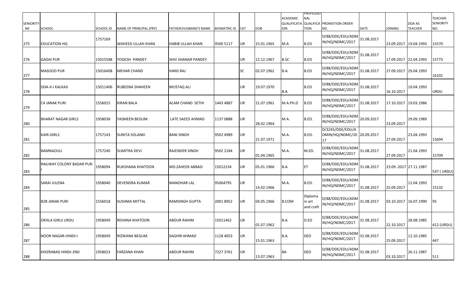| <b>SENIORITY</b><br>N <sub>0</sub> | SCHOOL                    | SCHOOL ID | NAME OF PRINCIPAL (PRY)  | FATHER/HUSBAND'S NAME   | BIOMATRIC ID CAT |           | <b>DOB</b> | <b>ACADEMIC</b><br>ON | PROFESSIO<br>NAL<br><b>TION</b> | <b>QUALIFICATA QUALIFICA PROMOTION ORDER</b><br>NO.  | <b>DATE</b> | <b>JOINING</b>        | DOA AS<br><b>TEACHER</b> | <b>TEACHER</b><br><b>SENIORITY</b><br>NO. |
|------------------------------------|---------------------------|-----------|--------------------------|-------------------------|------------------|-----------|------------|-----------------------|---------------------------------|------------------------------------------------------|-------------|-----------------------|--------------------------|-------------------------------------------|
| 275                                | EDUCATION HQ              | 1757169   | <b>WAHEED ULLAH KHAN</b> | HABIB ULLAH KHAN        | 9500 5117        | <b>UR</b> | 15.01.1965 | M.A                   | <b>B.ED</b>                     | D/88/DDE/EDU/ADM<br>IN/HQ/NDMC/2017                  | 31.08.2017  | 23.09.2017 19.04.1993 |                          | 15570                                     |
| 276                                | <b>GADAI PUR</b>          | 15015588  | YOGESH PANDEY            | SHIV SHANAR PANDEY      |                  | UR        | 12.12.1967 | <b>B.SC</b>           | <b>B.ED</b>                     | D/88/DDE/EDU/ADM<br>IN/HQ/NDMC/2017                  | 31.08.2017  | 17.09.2017 22.04.1993 |                          | 15773                                     |
| 277                                | MASOOD PUR                | 15016408  | <b>MEHAR CHAND</b>       | <b>HANS RAJ</b>         |                  | <b>SC</b> | 02.07.1962 | <b>B.A.</b>           | B.ED                            | D/88/DDE/EDU/ADM<br>IN/HQ/NDMC/2017                  | 31.08.2017  | 27.09.2017 29.04.1993 |                          | 16101                                     |
| 278                                | <b>DDA-II-I KALKAJI</b>   | 15011406  | <b>RUBEENA SHAHEEN</b>   | <b>MUSTAQ ALI</b>       |                  | UR        | 19.07.1970 | <b>B.A.</b>           | B.ED                            | D/88/DDE/EDU/ADM<br>IN/HQ/NDMC/2017                  | 31.08.2017  | 16.10.2017            | 10.04.1993               | <b>URDU</b>                               |
| 279                                | <b>C4 JANAK PURI</b>      | 1556015   | <b>KIRAN BALA</b>        | <b>ALAM CHAND SETHI</b> | 1443 4887        | <b>UR</b> | 21.07.1961 | M.A.PH.D              | B.ED                            | D/88/DDE/EDU/ADM<br>IN/HQ/NDMC/2017                  | 31.08.2017  | 17.10.2017 19.03.1986 |                          |                                           |
| 280                                | <b>BHARAT NAGAR GIRLS</b> | 1958038   | YASMEEN BEGUM            | LATE SAEED AHMAD        | 1137 0888        | <b>UR</b> | 28.02.1964 | M.A.                  | B.ED.                           | D/88/DDE/EDU/ADM<br>IN/HQ/NDMC/2017                  | 20.09.2017  | 23.09.2017            | 29.09.1989               |                                           |
| 281                                | KAIR-GIRLS                | 1757143   | <b>SUNITA SOLANKI</b>    | <b>BANI SINGH</b>       | 9502 4989        | <b>UR</b> | 21.07.1971 | M.A.                  | B.ED.                           | D/3245/DDE/EDU/A<br>DMIN/HQ/NDMC/20 20.09.2017<br>17 |             | 27.09.2017            | 23.04.1993               | 15694                                     |
| 282                                | <b>BAMNAOULI</b>          | 1757240   | <b>SUMITRA DEVI</b>      | RAJENDER SINGH          | 9502 2184        | UR        | 01.04.1965 | M.A.                  | M.ED.                           | D/88/DDE/EDU/ADM<br>IN/HQ/NDMC/2017                  | 31.08.2017  | 27.09.2017            | 21.04.1993               | 15709                                     |
| 283                                | RAILWAY COLONY BADAR PUR- | 1958094   | <b>RUKSHANA KHATOON</b>  | <b>MD.ZAHEER ABBASI</b> | 15012234         | <b>UR</b> | 05.01.1966 | B.A.                  | ET                              | D/88/DDE/EDU/ADM<br>IN/HQ/NDMC/2017                  | 31.08.2017  | 23.092017 27.11.1987  |                          | 537 (URDU)                                |
| 284                                | SARAI JULENA              | 1958040   | <b>DEVENDRA KUMAR</b>    | <b>MANOHAR LAL</b>      | 95064795         | <b>UR</b> | 14.02.1966 | M.A.                  | B.ED.                           | D/88/DDE/EDU/ADM<br>IN/HQ/NDMC/2017                  | 31.08.2017  | 25.09.2017            | 12.04.1993               | 15132                                     |
| 285                                | <b>B2B JANAK PURI</b>     | 1556018   | <b>SUSHMA MITTAL</b>     | <b>RAMSINGH GUPTA</b>   | 2001 8952        | <b>UR</b> | 04.05.1966 | <b>B.COM</b>          | Diploma<br>in art<br>and craft  | D/88/DDE/EDU/ADM<br>IN/HQ/NDMC/2017                  | 31.08.2017  | 03.10.2017 16.07.1990 |                          | 95                                        |
| 286                                | <b>OKHLA GIRLS URDU</b>   | 1958049   | <b>REHANA KHATOON</b>    | ABDUR RAHIM             | 15011462         | IUR.      | 01.07.1962 | B.A.                  | D.ED                            | D/88/DDE/EDU/ADM<br>IN/HQ/NDMC/2017                  | 31.08.2017  | 22.10.2017            | 28.08.1985               | 412 (URDU)                                |
| 287                                | NOOR NAGAR-HINDI-I        | 1958049   | RIZWANA BEGUM            | SAGHIR AHMAD            | 1128 4053        | UR        | 15.01.1963 | B.A.                  | <b>DED</b>                      | D/88/DDE/EDU/ADM<br>IN/HQ/NDMC/2017                  | 31.08.2017  | 25.09.2017            | 12.10.1985               | 447                                       |
| 288                                | KHIZRABAD HINDI-2ND       | 1958023   | <b>FARZANA KHAN</b>      | ABDUR RAHIM             | 7227 3761        | UR        | 13.07.1963 | <b>BA</b>             | DED                             | D/88/DDE/EDU/ADM<br>IN/HQ/NDMC/2017                  | 31.08.2017  | 03.10.2017            | 26.11.1987               | 511                                       |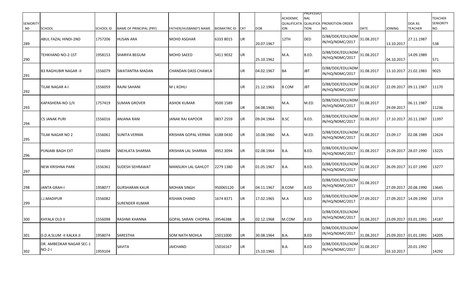| <b>SENIORITY</b><br>N <sub>0</sub> | SCHOOL                               | SCHOOL ID | NAME OF PRINCIPAL (PRY) | FATHER/HUSBAND'S NAME      | BIOMATRIC ID CAT |            | <b>DOB</b> | <b>ACADEMIC</b><br>ON | PROFESSIO<br>NAL<br><b>TION</b> | QUALIFICATA QUALIFICA PROMOTION ORDER<br>NO. | <b>DATE</b> | <b>JOINING</b>        | DOA AS<br><b>TEACHER</b> | <b>TEACHER</b><br><b>SENIORITY</b><br>NO. |
|------------------------------------|--------------------------------------|-----------|-------------------------|----------------------------|------------------|------------|------------|-----------------------|---------------------------------|----------------------------------------------|-------------|-----------------------|--------------------------|-------------------------------------------|
| 289                                | ABUL FAZAL HINDI-2ND                 | 1757206   | <b>HUSAN ARA</b>        | <b>MOHD ASGHAR</b>         | 6333 8015        | <b>UR</b>  | 20.07.1967 | 12TH                  | <b>DED</b>                      | D/88/DDE/EDU/ADM<br>IN/HQ/NDMC/2017          | 31.08.2017  | 13.10.2017            | 27.11.1987               | 538                                       |
| 290                                | TEHKHAND NO-2-1ST                    | 1958153   | SHARIFA BEGUM           | MOHD SAEED                 | 5411 9032        | <b>JUR</b> | 25.10.1962 | M.A.                  | B.ED.                           | D/88/DDE/EDU/ADM<br>IN/HQ/NDMC/2017          | 31.08.2017  | 04.10.2017            | 14.09.1989               | 571                                       |
| 291                                | <b>B3 RAGHUBIR NAGAR -II</b>         | 1556079   | SWATANTRA MADAN         | CHANDAN DASS CHAWLA        |                  | UR         | 04.02.1967 | BA                    | JBT                             | D/88/DDE/EDU/ADN<br>IN/HQ/NDMC/2017          | 31.08.2017  | 13.10.2017 21.02.1983 |                          | 9025                                      |
| 292                                | TILAK NAGAR 4-I                      | 1556059   | RAJNI SAHANI            | <b>MLKOHLI</b>             |                  | <b>IUR</b> | 21.12.1963 | <b>B COM</b>          | JBT                             | D/88/DDE/EDU/ADM<br>IN/HQ/NDMC/2017          | 31.08.2017  | 22.09.2017 09.11.1987 |                          | 11170                                     |
| 293                                | KAPASHERA-NO-1/II                    | 1757419   | <b>SUMAN GROVER</b>     | <b>ASHOK KUMAR</b>         | 9500 1589        | UR.        | 04.08.1965 | M.A.                  | M.ED.                           | D/88/DDE/EDU/ADM<br>IN/HQ/NDMC/2017          | 31.08.2017  | 29.09.2017            | 06.11.1987               | 11236                                     |
| 294                                | <b>C5 JANAK PURI</b>                 | 1556016   | ANJANA RANI             | JANAK RAJ KAPOOR           | 0837 2559        | UR         | 09.04.1964 | <b>B.SC</b>           | B.ED.                           | D/88/DDE/EDU/ADM<br>IN/HQ/NDMC/2017          | 31.08.2017  | 17.10.2017 20.11.1987 |                          | 11397                                     |
| 295                                | TILAK NAGAR NO 2                     | 1556061   | <b>SUNITA VERMA</b>     | <b>KRISHAN GOPAL VERMA</b> | 6188 0430        | UR         | 10.08.1960 | M.A.                  | M.ED.                           | D/88/DDE/EDU/ADM<br>IN/HQ/NDMC/2017          | 31.08.2017  | 23.09.17              | 02.08.1989               | 12624                                     |
| 296                                | PUNJABI BAGH EXT                     | 1556094   | SNEHLATA SHARMA         | KRISHAN LAL SHARMA         | 4952 3094        | UR         | 02.08.1964 | <b>B.A.</b>           | B.ED.                           | D/88/DDE/EDU/ADN<br>IN/HQ/NDMC/2017          | 31.08.2017  | 25.09.2017 28.07.1990 |                          | 13225                                     |
| 297                                | <b>NEW KRISHNA PARK</b>              | 1556361   | SUDESH SEHRAWAT         | <b>MANSUKH LAL GAHLOT</b>  | 2279 1380        | <b>JUR</b> | 01.05.1967 | B.A.                  | B.ED.                           | D/88/DDE/EDU/ADM<br>IN/HQ/NDMC/2017          | 31.08.2017  | 26.09.2017 31.07.1990 |                          | 13277                                     |
| 298                                | <b>JANTA GRAH-I</b>                  | 1958077   | <b>GURSHARAN KAUR</b>   | <b>MOHAN SINGH</b>         | 950065120        | <b>UR</b>  | 04.11.1967 | <b>B.COM</b>          | <b>B.ED</b>                     | D/88/DDE/EDU/ADM<br>IN/HQ/NDMC/2017          | 31.08.2017  | 27.09.2017 20.08.1990 |                          | 13645                                     |
| 299                                | <b>J.J.MADIPUR</b>                   | 1556082   | <b>SURENDER KUMAR</b>   | KISHAN CHAND               | 1674 8371        | <b>UR</b>  | 17.02.1965 | M.A                   | B.ED                            | D/88/DDE/EDU/ADM<br>IN/HQ/NDMC/2017          | 27.09.2017  | 27.09.2017 14.09.1990 |                          | 13719                                     |
| 300                                | KHYALA OLD II                        | 1556098   | RASHMI KHANNA           | GOPAL SARAN CHOPRA         | 39546388         | IUR.       | 02.12.1968 | M.COM                 | IB.ED                           | D/88/DDE/EDU/ADM<br>IN/HQ/NDMC/2017          | 31.08.2017  |                       |                          | 14187                                     |
| 301                                | <b>D.D.A.SLUM - II KALKA JI</b>      | 1958074   | SARESTHA                | <b>SOM NATH MOHLA</b>      | 15011000         | <b>UR</b>  | 30.08.1964 | B.A.                  | B.ED                            | D/88/DDE/EDU/ADM<br>IN/HQ/NDMC/2017          | 31.08.2017  | 25.09.2017 01.01.1991 |                          | 14205                                     |
| 302                                | DR. AMBEDKAR NAGAR SEC-1<br>$NO-2-I$ | 1959104   | SAVITA                  | JAICHAND                   | 15016167         | UR         | 15.10.1965 | <b>B.A.</b>           | B.ED                            | D/88/DDE/EDU/ADM<br>IN/HQ/NDMC/2017          | 31.08.2017  | 03.10.2017            | 20.01.1992               | 14292                                     |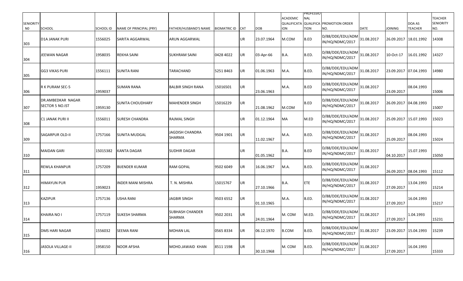| <b>SENIORITY</b><br>N <sub>0</sub> | <b>SCHOOL</b>                               | SCHOOL ID | NAME OF PRINCIPAL (PRY) | <b>FATHER/HUSBAND'S NAME</b>     | <b>BIOMATRIC ID</b> | <b>CAT</b> | <b>DOB</b> | ACADEMIC<br><b>ION</b> | <b>PROFESSIO</b><br><b>NAL</b><br><b>TION</b> | QUALIFICATA QUALIFICA PROMOTION ORDER<br>NO. | <b>DATE</b> | <b>JOINING</b>        | DOA AS<br><b>TEACHER</b> | <b>TEACHER</b><br><b>SENIORITY</b><br>NO. |
|------------------------------------|---------------------------------------------|-----------|-------------------------|----------------------------------|---------------------|------------|------------|------------------------|-----------------------------------------------|----------------------------------------------|-------------|-----------------------|--------------------------|-------------------------------------------|
| 303                                | D1A JANAK PURI                              | 1556025   | SARITA AGGARWAL         | ARUN AGGARWAL                    |                     | UR         | 23.07.1964 | M.COM                  | B.ED                                          | D/88/DDE/EDU/ADM<br>IN/HQ/NDMC/2017          | 31.08.2017  | 26.09.2017 18.01.1992 |                          | 14308                                     |
| 304                                | JEEWAN NAGAR                                | 1958035   | REKHA SAINI             | <b>SUKHRAM SAINI</b>             | 0428 4022           | UR         | 03-Apr-66  | B.A.                   | B.ED.                                         | D/88/DDE/EDU/ADM<br>IN/HQ/NDMC/2017          | 31.08.2017  | 10-Oct-17             | 16.01.1992               | 14327                                     |
| 305                                | GG3 VIKAS PURI                              | 1556111   | <b>SUNITA RANI</b>      | TARACHAND                        | 52518463            | UR         | 01.06.1963 | M.A.                   | B.ED.                                         | D/88/DDE/EDU/ADM<br>IN/HQ/NDMC/2017          | 31.08.2017  | 23.09.2017 07.04.1993 |                          | 14980                                     |
| 306                                | R K PURAM SEC-5                             | 1959037   | SUMAN RANA              | BALBIR SINGH RANA                | 15016501            | UR         | 23.06.1963 | M.A.                   | B.ED                                          | D/88/DDE/EDU/ADM<br>IN/HQ/NDMC/2017          | 31.08.2017  | 23.09.2017            | 08.04.1993               | 15006                                     |
| 307                                | DR.AMBEDKAR NAGAR<br><b>SECTOR 5 NO.IST</b> | 1959130   | <b>SUNITA CHOUDHARY</b> | <b>MAHENDER SINGH</b>            | 15016229            | UR         | 21.08.1962 | M.COM                  | B.ED                                          | D/88/DDE/EDU/ADM<br>IN/HQ/NDMC/2017          | 31.08.2017  | 26.09.2017 04.08.1993 |                          | 15007                                     |
| 308                                | C1 JANAK PURI II                            | 1556011   | <b>SURESH CHANDRA</b>   | RAJMAL SINGH                     |                     | UR         | 01.12.1964 | <b>MA</b>              | M.ED                                          | D/88/DDE/EDU/ADM<br>IN/HQ/NDMC/2017          | 31.08.2017  | 25.09.2017 15.07.1993 |                          | 15023                                     |
| 309                                | <b>SAGARPUR OLD-II</b>                      | 1757166   | <b>SUNITA MUDGAL</b>    | JAGDISH CHANDRA<br>SHARMA        | 9504 1901           | UR         | 11.02.1967 | M.A.                   | B.ED.                                         | D/88/DDE/EDU/ADM<br>IN/HQ/NDMC/2017          | 31.08.2017  | 25.09.2017            | 08.04.1993               | 15024                                     |
| 310                                | <b>MAIDAN GARI</b>                          | 15015382  | KANTA DAGAR             | <b>SUDHIR DAGAR</b>              |                     | UR         | 01.05.1962 | <b>B.A.</b>            | B.ED                                          | D/88/DDE/EDU/ADM<br>IN/HQ/NDMC/2017          | 31.08.2017  | 04.10.2017            | 15.07.1993               | 15050                                     |
| 311                                | <b>REWLA KHANPUR</b>                        | 1757209   | <b>BIJENDER KUMAR</b>   | <b>RAM GOPAL</b>                 | 9502 6049           | UR         | 16.06.1967 | M.A.                   | B.ED.                                         | D/88/DDE/EDU/ADM<br>IN/HQ/NDMC/2017          | 31.08.2017  | 26.09.2017            | 08.04.1993               | 15112                                     |
| 312                                | <b>HIMAYUN PUR</b>                          | 1959023   | <b>NDER MANI MISHRA</b> | T. N. MISHRA                     | 15015767            | UR         | 27.10.1966 | B.A.                   | <b>ETE</b>                                    | D/88/DDE/EDU/ADM<br>IN/HQ/NDMC/2017          | 31.08.2017  | 27.09.2017            | 13.04.1993               | 15214                                     |
| 313                                | <b>KAZIPUR</b>                              | 1757136   | USHA RANI               | <b>JAGBIR SINGH</b>              | 9503 6552           | UR         | 01.10.1965 | M.A.                   | B.ED.                                         | D/88/DDE/EDU/ADM<br>IN/HQ/NDMC/2017          | 31.08.2017  | 27.09.2017            | 16.04.1993               | 15217                                     |
| 314                                | KHAIRA NO I                                 | 1757119   | <b>SUKESH SHARMA</b>    | <b>SUBHASH CHANDER</b><br>SHARMA | 9502 2031           | UR         | 24.01.1964 | M. COM                 | M.ED.                                         | D/88/DDE/EDU/ADM<br>IN/HQ/NDMC/2017          | 31.08.2017  | 27.09.2017            | 1.04.1993                | 15231                                     |
| 315                                | <b>DMS HARI NAGAR</b>                       | 1556032   | <b>SEEMA RANI</b>       | <b>MOHAN LAL</b>                 | 0565 8334           | UR         | 06.12.1970 | <b>B.COM</b>           | B.ED.                                         | D/88/DDE/EDU/ADM<br>IN/HQ/NDMC/2017          | 31.08.2017  | 23.09.2017 15.04.1993 |                          | 15239                                     |
| 316                                | <b>JASOLA VILLAGE-II</b>                    | 1958150   | <b>NOOR AFSHA</b>       | MOHD.JAWAID KHAN                 | 8511 1598           | UR         | 30.10.1968 | M. COM                 | B.ED.                                         | D/88/DDE/EDU/ADM<br>IN/HQ/NDMC/2017          | 31.08.2017  | 27.09.2017            | 16.04.1993               | 15333                                     |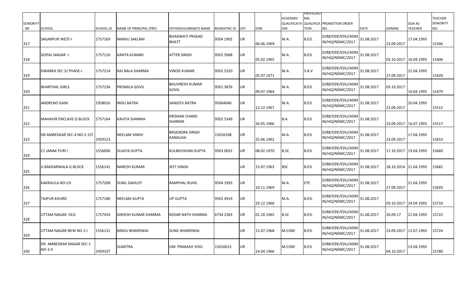| <b>SENIORITY</b><br>N <sub>0</sub> | SCHOOL                                | SCHOOL ID | NAME OF PRINCIPAL (PRY) | FATHER/HUSBAND'S NAME                  | <b>BIOMATRIC ID</b> | <b>CAT</b> | <b>DOB</b> | ACADEMIC<br><b>ION</b> | <b>PROFESSIO</b><br><b>NAL</b><br><b>TION</b> | QUALIFICATA QUALIFICA PROMOTION ORDER<br>NO. | <b>DATE</b> | <b>JOINING</b>        | DOA AS<br><b>TEACHER</b> | <b>TEACHER</b><br><b>SENIORITY</b><br>NO. |
|------------------------------------|---------------------------------------|-----------|-------------------------|----------------------------------------|---------------------|------------|------------|------------------------|-----------------------------------------------|----------------------------------------------|-------------|-----------------------|--------------------------|-------------------------------------------|
| 317                                | SAGARPUR WEST-I                       | 1757169   | <b>MANJU SAKLANI</b>    | <b>BHAGWATI PRASAD</b><br><b>BHATT</b> | 9504 1902           | UR         | 06.06.1969 | M.A.                   | B.ED.                                         | D/88/DDE/EDU/ADM<br>IN/HQ/NDMC/2017          | 31.08.2017  | 23.09.2017            | 17.04.1993               | 15346                                     |
| 318                                | <b>GOPAL NAGAR -I</b>                 | 1757110   | KANTA KUMARI            | <b>ATTER SINGH</b>                     | 9502 5068           | UR         | 05.02.1965 | M.A.                   | B.ED.                                         | D/88/DDE/EDU/ADM<br>IN/HQ/NDMC/2017          | 31.08.2017  | 03.10.2017 16.04.1993 |                          | 15406                                     |
| 319                                | DWARKA SEC 3/ PHASE-I                 | 1757214   | RAJ BALA SHARMA         | VINOD KUMAR                            | 9502 5320           | UR         | 05.07.1971 | M.A.                   | S.A.V                                         | D/88/DDE/EDU/ADM<br>IN/HQ/NDMC/2017          | 31.08.2017  | 27.09.2017            | 22.04.1993               | 15420                                     |
| 320                                | <b>BHARTHAL GIRLS</b>                 | 1757236   | PROMILA GOVIL           | <b>BHUVNESH KUMAR</b><br>GOVIL         | 9501 3876           | UR         | 09.07.1964 | M.A.                   | B.ED                                          | D/88/DDE/EDU/ADM<br>IN/HQ/NDMC/2017          | 31.08.2017  | 03.10.2017            | 16.04.1993               | 15479                                     |
| 321                                | <b>ANDREWS GANJ</b>                   | 1958016   | <b>NDU BATRA</b>        | <b>SANJEEV BATRA</b>                   | 95064040            | UR         | 12.12.1967 | M.A.                   | B.ED.                                         | D/88/DDE/EDU/ADM<br>IN/HQ/NDMC/2017          | 31.08.2017  | 22.09.2017            | 20.04.1993               | 15512                                     |
| 322                                | <b>MAHAVIR ENCLAVE-D BLOCK</b>        | 1757164   | <b>KAVITA SHARMA</b>    | <b>KRISHAN CHAND</b><br>SHARMA         | 9502 5349           | UR         | 26.05.1966 | <b>B.A.</b>            | B.ED.                                         | D/88/DDE/EDU/ADM<br>IN/HQ/NDMC/2017          | 31.08.2017  | 25.09.2017 16.07.1993 |                          | 15517                                     |
| 323                                | DR AMBEDKAR SEC-4 NO-2-1ST            | 1959123   | NEELAM SINGH            | <b>BRIJENDRA SINGH</b><br>KANAUJIA     | 15016198            | UR         | 25.06.1962 | M.A.                   | B.ED                                          | D/88/DDE/EDU/ADM<br>IN/HQ/NDMC/2017          | 31.08.2017  | 23.09.2017            | 17.04.1993               | 15653                                     |
| 324                                | <b>C1 JANAK PURI I</b>                | 1556006   | <b>SUJATA GUPTA</b>     | KULBHUSHAN GUPTA                       | 9503 0052           | UR         | 08.02.1970 | <b>B.SC</b>            | B.ED.                                         | D/88/DDE/EDU/ADM<br>IN/HQ/NDMC/2017          | 31.08.2017  | 17.10.2017 19.04.1993 |                          | 15660                                     |
| 325                                | JJ BAKKARWALA G BLOCK                 | 1556141   | NARESH KUMAR            | <b>JEET SINGH</b>                      |                     | UR         | 15.07.1963 | <b>BSC</b>             | B.ED                                          | D/88/DDE/EDU/ADM<br>IN/HQ/NDMC/2017          | 31.08.2017  | 28.10.2014 21.04.1993 |                          | 15682                                     |
| 326                                | KAKRAULA NO-I/II                      | 1757208   | <b>SUNIL GAHLOT</b>     | RAMPHAL RUHIL                          | 9504 1993           | UR         | 10.11.1969 | M.A.                   | <b>ETE</b>                                    | D/88/DDE/EDU/ADM<br>IN/HQ/NDMC/2017          | 31.08.2017  | 27.09.2017            | 21.04.1993               | 15693                                     |
| 327                                | TAJPUR KHURD                          | 1757180   | NEELAM GUPTA            | <b>UP GUPTA</b>                        | 9502 4919           | UR         | 29.12.1966 | M.A.                   | B.ED.                                         | D/88/DDE/EDU/ADM<br>IN/HQ/NDMC/2017          | 31.08.2017  | 03.10.2017 24.04.1993 |                          | 15710                                     |
| 328                                | UTTAM NAGAR OLD                       | 1757434   | GIRJESH KUMAR SHARMA    | KEDAR NATH SHARMA                      | 6734 2363           | UR         | 01.10.1965 | <b>B.SC</b>            | B.ED.                                         | D/88/DDE/EDU/ADM<br>IN/HQ/NDMC/2017          | 31.08.2017  | 26.09.17              | 21.04.1993               | 15722                                     |
| 329                                | UTTAM NAGAR NEW NO 2-I                | 1556131   | <b>BINDU BHARDWAJ</b>   | <b>SUNIL BHARDWAJ</b>                  |                     | UR         | 15.07.1968 | M.COM                  | B.ED.                                         | D/88/DDE/EDU/ADM<br>IN/HQ/NDMC/2017          | 31.08.2017  | 23.09.2017 15.07.1993 |                          | 15724                                     |
| 330                                | DR. AMBEDKAR NAGAR SEC-1<br>$NO-3-II$ | 1959107   | <b>SUMITRA</b>          | OM PRAKASH YOGI                        | 15016015            | UR         | 14.04.1966 | M.COM                  | B.ED                                          | D/88/DDE/EDU/ADM<br>IN/HQ/NDMC/2017          | 31.08.2017  | 04.10.2017            | 23.04.1993               | 15780                                     |